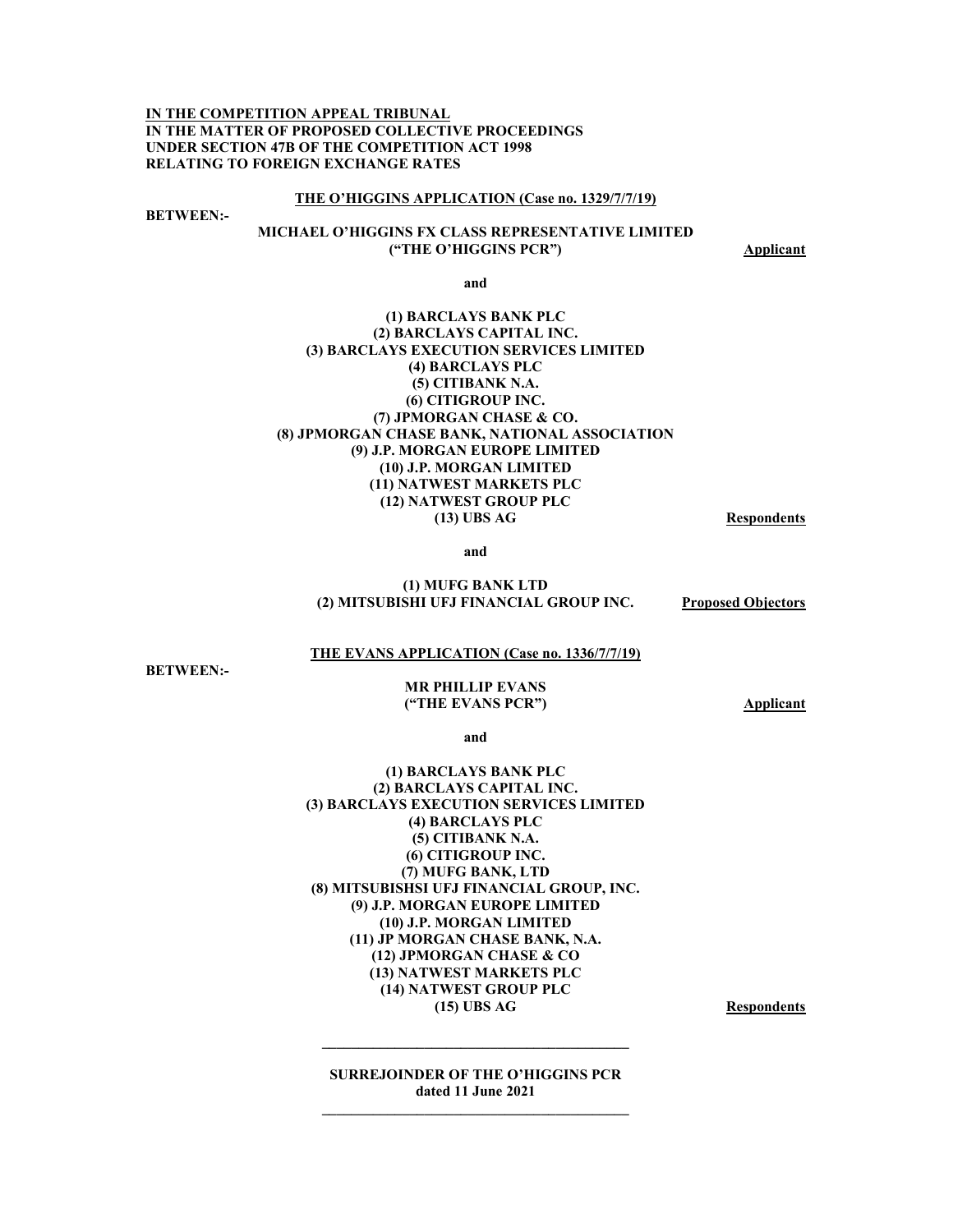**IN THE COMPETITION APPEAL TRIBUNAL IN THE MATTER OF PROPOSED COLLECTIVE PROCEEDINGS UNDER SECTION 47B OF THE COMPETITION ACT 1998 RELATING TO FOREIGN EXCHANGE RATES** 

#### **THE O'HIGGINS APPLICATION (Case no. 1329/7/7/19)**

**BETWEEN:-** 

### **MICHAEL O'HIGGINS FX CLASS REPRESENTATIVE LIMITED ("THE O'HIGGINS PCR") Applicant**

**and** 

#### **(1) BARCLAYS BANK PLC (2) BARCLAYS CAPITAL INC. (3) BARCLAYS EXECUTION SERVICES LIMITED (4) BARCLAYS PLC (5) CITIBANK N.A. (6) CITIGROUP INC. (7) JPMORGAN CHASE & CO. (8) JPMORGAN CHASE BANK, NATIONAL ASSOCIATION (9) J.P. MORGAN EUROPE LIMITED (10) J.P. MORGAN LIMITED (11) NATWEST MARKETS PLC (12) NATWEST GROUP PLC (13) UBS AG Respondents**

**and** 

#### **(1) MUFG BANK LTD (2) MITSUBISHI UFJ FINANCIAL GROUP INC. Proposed Objectors**

#### **THE EVANS APPLICATION (Case no. 1336/7/7/19)**

**BETWEEN:-** 

#### **MR PHILLIP EVANS ("THE EVANS PCR") Applicant**

**and** 

#### **(1) BARCLAYS BANK PLC (2) BARCLAYS CAPITAL INC. (3) BARCLAYS EXECUTION SERVICES LIMITED (4) BARCLAYS PLC (5) CITIBANK N.A. (6) CITIGROUP INC. (7) MUFG BANK, LTD (8) MITSUBISHSI UFJ FINANCIAL GROUP, INC. (9) J.P. MORGAN EUROPE LIMITED (10) J.P. MORGAN LIMITED (11) JP MORGAN CHASE BANK, N.A. (12) JPMORGAN CHASE & CO (13) NATWEST MARKETS PLC (14) NATWEST GROUP PLC**  (15) UBS AG Respondents

**SURREJOINDER OF THE O'HIGGINS PCR dated 11 June 2021** 

**\_\_\_\_\_\_\_\_\_\_\_\_\_\_\_\_\_\_\_\_\_\_\_\_\_\_\_\_\_\_\_\_\_\_\_\_\_\_\_\_\_\_**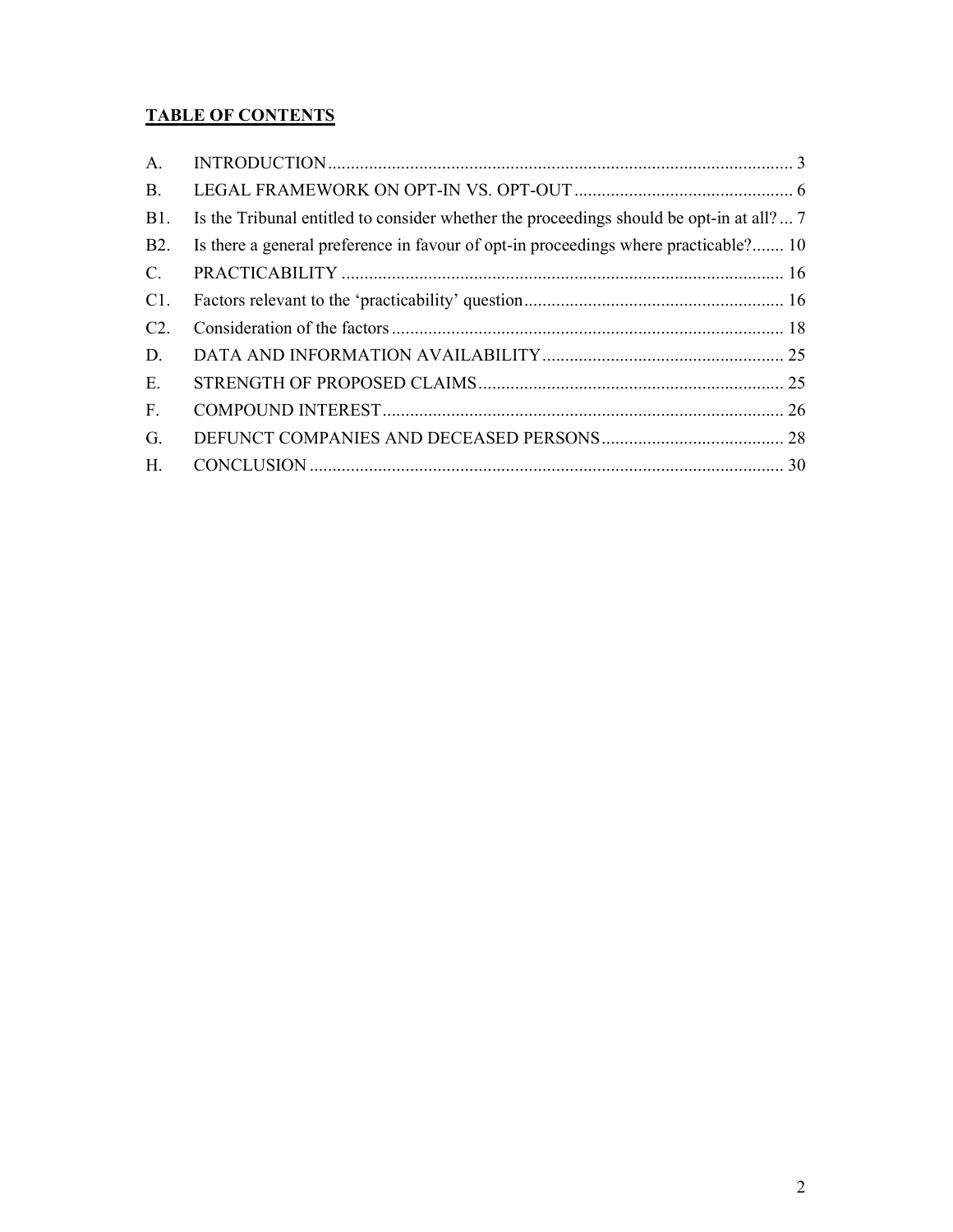# **TABLE OF CONTENTS**

| A.             |                                                                                         |  |
|----------------|-----------------------------------------------------------------------------------------|--|
| <b>B.</b>      |                                                                                         |  |
| <b>B</b> 1.    | Is the Tribunal entitled to consider whether the proceedings should be opt-in at all? 7 |  |
| <b>B2.</b>     | Is there a general preference in favour of opt-in proceedings where practicable? 10     |  |
| $C_{\cdot}$    |                                                                                         |  |
| C1.            |                                                                                         |  |
| C2.            |                                                                                         |  |
| D.             |                                                                                         |  |
| E.             |                                                                                         |  |
| F <sub>r</sub> |                                                                                         |  |
| G.             |                                                                                         |  |
| H.             |                                                                                         |  |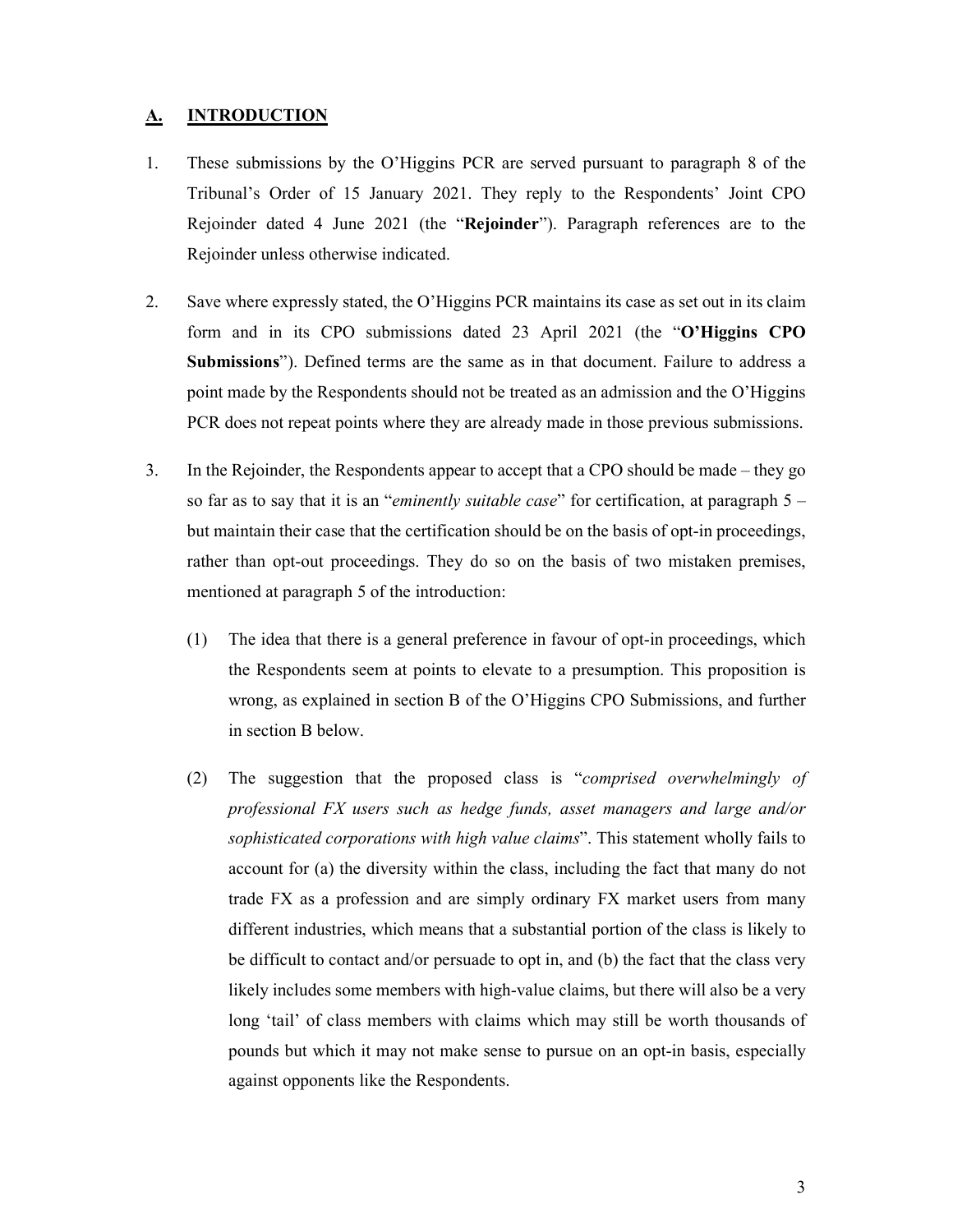# **A. INTRODUCTION**

- 1. These submissions by the O'Higgins PCR are served pursuant to paragraph 8 of the Tribunal's Order of 15 January 2021. They reply to the Respondents' Joint CPO Rejoinder dated 4 June 2021 (the "**Rejoinder**"). Paragraph references are to the Rejoinder unless otherwise indicated.
- 2. Save where expressly stated, the O'Higgins PCR maintains its case as set out in its claim form and in its CPO submissions dated 23 April 2021 (the "**O'Higgins CPO Submissions**"). Defined terms are the same as in that document. Failure to address a point made by the Respondents should not be treated as an admission and the O'Higgins PCR does not repeat points where they are already made in those previous submissions.
- 3. In the Rejoinder, the Respondents appear to accept that a CPO should be made they go so far as to say that it is an "*eminently suitable case*" for certification, at paragraph 5 – but maintain their case that the certification should be on the basis of opt-in proceedings, rather than opt-out proceedings. They do so on the basis of two mistaken premises, mentioned at paragraph 5 of the introduction:
	- (1) The idea that there is a general preference in favour of opt-in proceedings, which the Respondents seem at points to elevate to a presumption. This proposition is wrong, as explained in section B of the O'Higgins CPO Submissions, and further in section B below.
	- (2) The suggestion that the proposed class is "*comprised overwhelmingly of professional FX users such as hedge funds, asset managers and large and/or sophisticated corporations with high value claims*". This statement wholly fails to account for (a) the diversity within the class, including the fact that many do not trade FX as a profession and are simply ordinary FX market users from many different industries, which means that a substantial portion of the class is likely to be difficult to contact and/or persuade to opt in, and (b) the fact that the class very likely includes some members with high-value claims, but there will also be a very long 'tail' of class members with claims which may still be worth thousands of pounds but which it may not make sense to pursue on an opt-in basis, especially against opponents like the Respondents.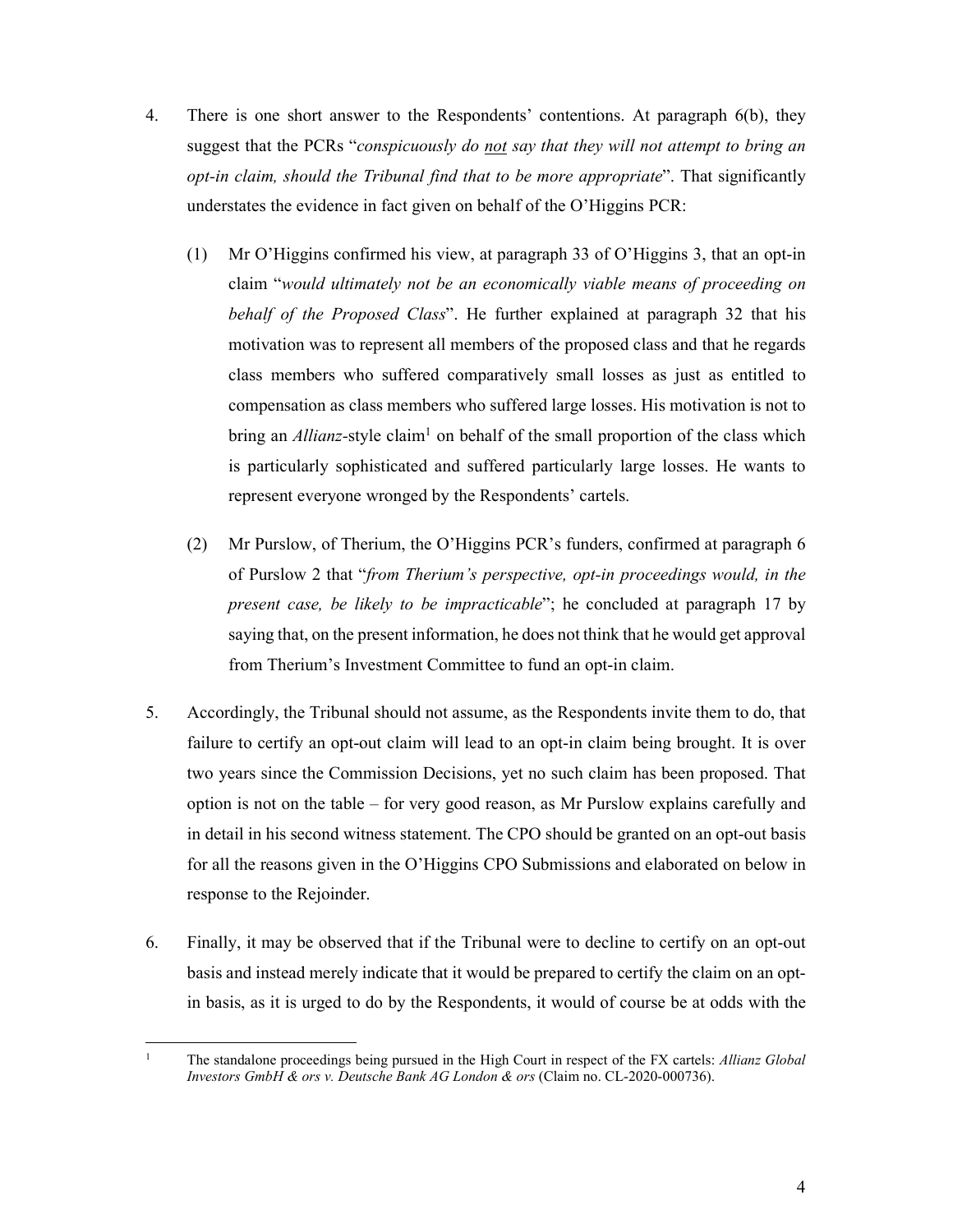- 4. There is one short answer to the Respondents' contentions. At paragraph 6(b), they suggest that the PCRs "*conspicuously do not say that they will not attempt to bring an opt-in claim, should the Tribunal find that to be more appropriate*". That significantly understates the evidence in fact given on behalf of the O'Higgins PCR:
	- (1) Mr O'Higgins confirmed his view, at paragraph 33 of O'Higgins 3, that an opt-in claim "*would ultimately not be an economically viable means of proceeding on behalf of the Proposed Class*". He further explained at paragraph 32 that his motivation was to represent all members of the proposed class and that he regards class members who suffered comparatively small losses as just as entitled to compensation as class members who suffered large losses. His motivation is not to bring an *Allianz*-style claim<sup>1</sup> on behalf of the small proportion of the class which is particularly sophisticated and suffered particularly large losses. He wants to represent everyone wronged by the Respondents' cartels.
	- (2) Mr Purslow, of Therium, the O'Higgins PCR's funders, confirmed at paragraph 6 of Purslow 2 that "*from Therium's perspective, opt-in proceedings would, in the present case, be likely to be impracticable*"; he concluded at paragraph 17 by saying that, on the present information, he does not think that he would get approval from Therium's Investment Committee to fund an opt-in claim.
- 5. Accordingly, the Tribunal should not assume, as the Respondents invite them to do, that failure to certify an opt-out claim will lead to an opt-in claim being brought. It is over two years since the Commission Decisions, yet no such claim has been proposed. That option is not on the table – for very good reason, as Mr Purslow explains carefully and in detail in his second witness statement. The CPO should be granted on an opt-out basis for all the reasons given in the O'Higgins CPO Submissions and elaborated on below in response to the Rejoinder.
- 6. Finally, it may be observed that if the Tribunal were to decline to certify on an opt-out basis and instead merely indicate that it would be prepared to certify the claim on an optin basis, as it is urged to do by the Respondents, it would of course be at odds with the

<sup>-</sup>1 The standalone proceedings being pursued in the High Court in respect of the FX cartels: *Allianz Global Investors GmbH & ors v. Deutsche Bank AG London & ors* (Claim no. CL-2020-000736).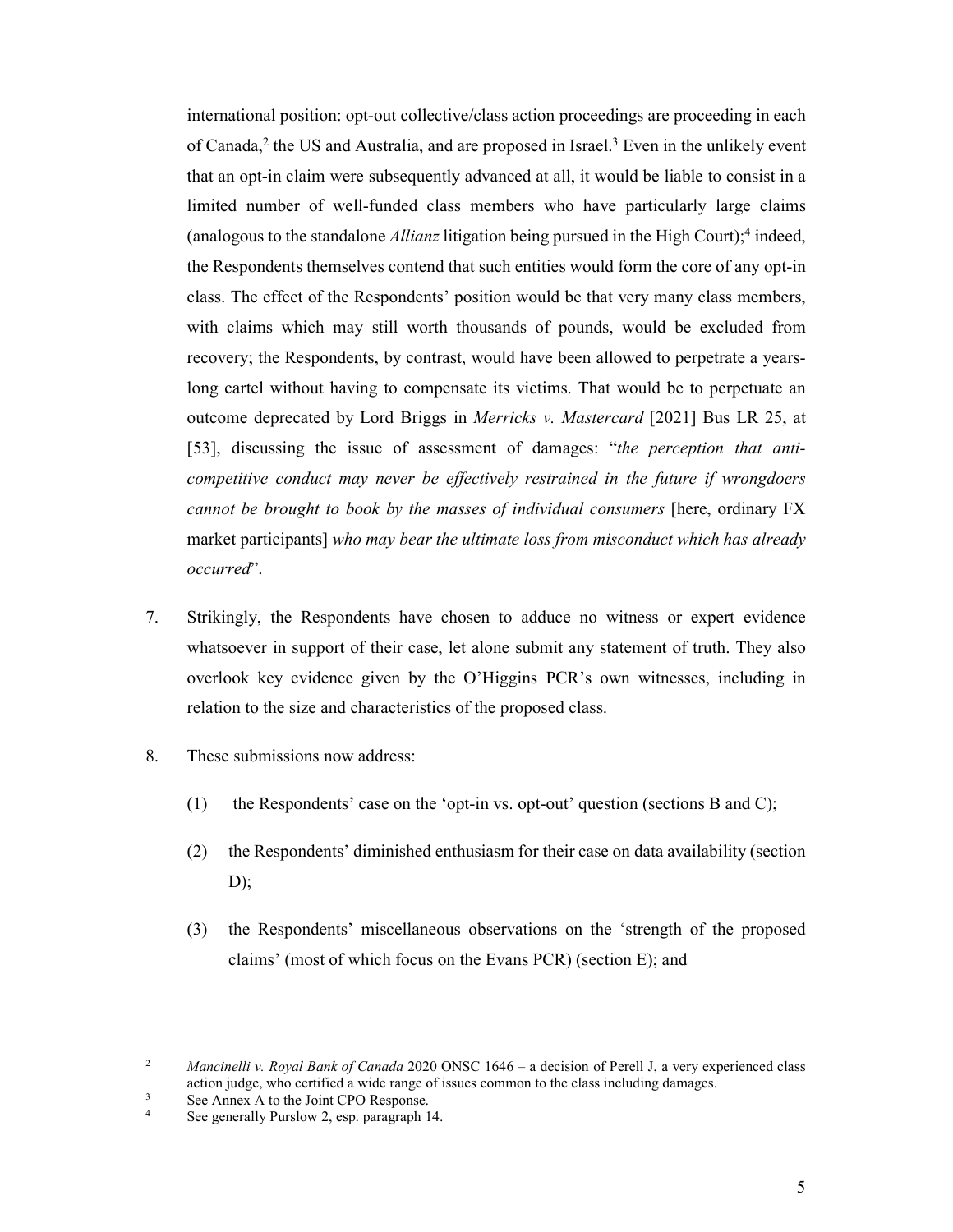international position: opt-out collective/class action proceedings are proceeding in each of Canada,<sup>2</sup> the US and Australia, and are proposed in Israel.<sup>3</sup> Even in the unlikely event that an opt-in claim were subsequently advanced at all, it would be liable to consist in a limited number of well-funded class members who have particularly large claims (analogous to the standalone *Allianz* litigation being pursued in the High Court);4 indeed, the Respondents themselves contend that such entities would form the core of any opt-in class. The effect of the Respondents' position would be that very many class members, with claims which may still worth thousands of pounds, would be excluded from recovery; the Respondents, by contrast, would have been allowed to perpetrate a yearslong cartel without having to compensate its victims. That would be to perpetuate an outcome deprecated by Lord Briggs in *Merricks v. Mastercard* [2021] Bus LR 25, at [53], discussing the issue of assessment of damages: "*the perception that anticompetitive conduct may never be effectively restrained in the future if wrongdoers cannot be brought to book by the masses of individual consumers* [here, ordinary FX market participants] *who may bear the ultimate loss from misconduct which has already occurred*".

- 7. Strikingly, the Respondents have chosen to adduce no witness or expert evidence whatsoever in support of their case, let alone submit any statement of truth. They also overlook key evidence given by the O'Higgins PCR's own witnesses, including in relation to the size and characteristics of the proposed class.
- 8. These submissions now address:
	- (1) the Respondents' case on the 'opt-in vs. opt-out' question (sections B and C);
	- (2) the Respondents' diminished enthusiasm for their case on data availability (section  $D)$ ;
	- (3) the Respondents' miscellaneous observations on the 'strength of the proposed claims' (most of which focus on the Evans PCR) (section E); and

-

<sup>2</sup> *Mancinelli v. Royal Bank of Canada* 2020 ONSC 1646 – a decision of Perell J, a very experienced class action judge, who certified a wide range of issues common to the class including damages.<br>See Annoy A to the Joint CPO Besponse

See Annex A to the Joint CPO Response. 4

See generally Purslow 2, esp. paragraph 14.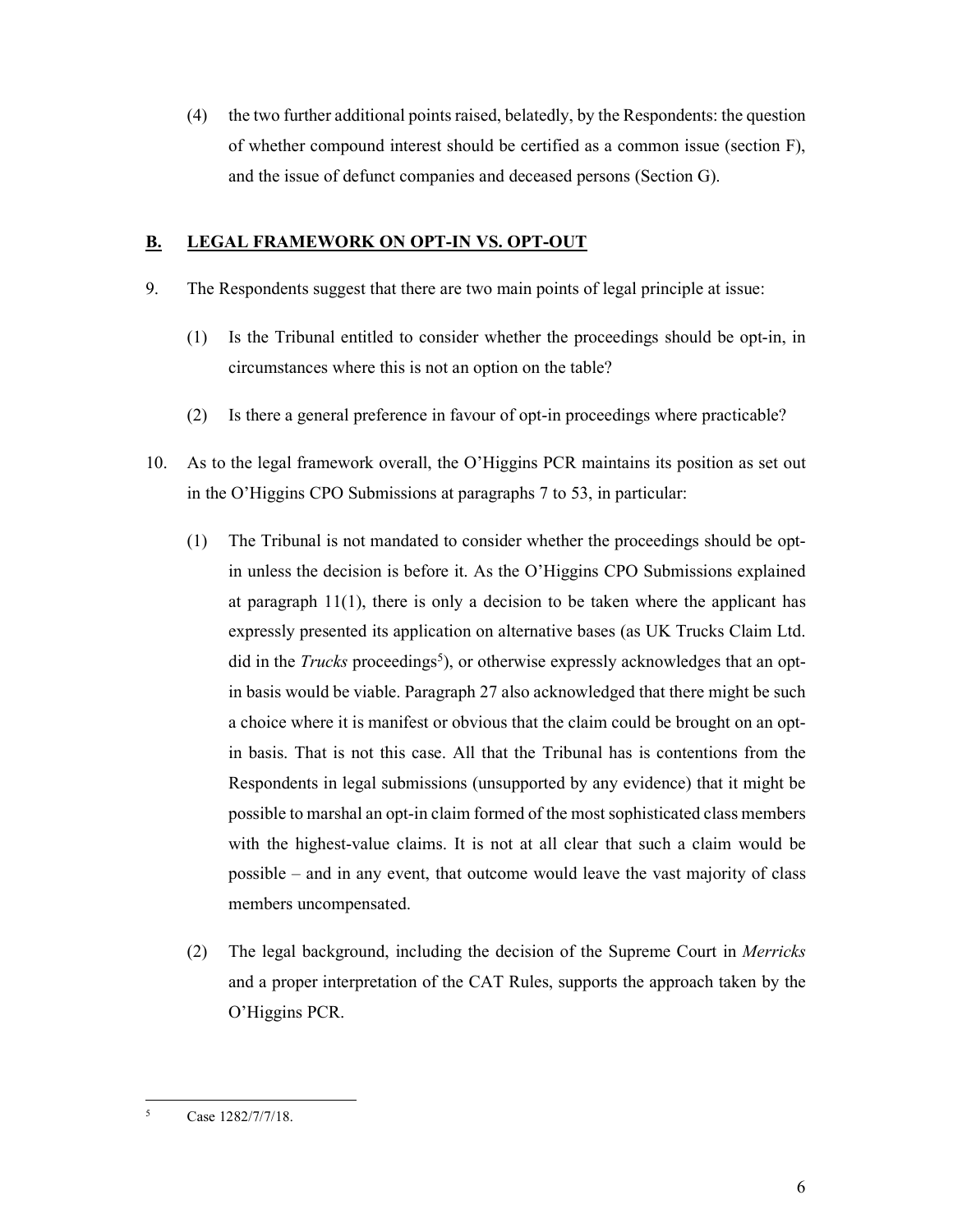(4) the two further additional points raised, belatedly, by the Respondents: the question of whether compound interest should be certified as a common issue (section F), and the issue of defunct companies and deceased persons (Section G).

# **B. LEGAL FRAMEWORK ON OPT-IN VS. OPT-OUT**

- 9. The Respondents suggest that there are two main points of legal principle at issue:
	- (1) Is the Tribunal entitled to consider whether the proceedings should be opt-in, in circumstances where this is not an option on the table?
	- (2) Is there a general preference in favour of opt-in proceedings where practicable?
- 10. As to the legal framework overall, the O'Higgins PCR maintains its position as set out in the O'Higgins CPO Submissions at paragraphs 7 to 53, in particular:
	- (1) The Tribunal is not mandated to consider whether the proceedings should be optin unless the decision is before it. As the O'Higgins CPO Submissions explained at paragraph 11(1), there is only a decision to be taken where the applicant has expressly presented its application on alternative bases (as UK Trucks Claim Ltd. did in the *Trucks* proceedings<sup>5</sup>), or otherwise expressly acknowledges that an optin basis would be viable. Paragraph 27 also acknowledged that there might be such a choice where it is manifest or obvious that the claim could be brought on an optin basis. That is not this case. All that the Tribunal has is contentions from the Respondents in legal submissions (unsupported by any evidence) that it might be possible to marshal an opt-in claim formed of the most sophisticated class members with the highest-value claims. It is not at all clear that such a claim would be possible – and in any event, that outcome would leave the vast majority of class members uncompensated.
	- (2) The legal background, including the decision of the Supreme Court in *Merricks*  and a proper interpretation of the CAT Rules, supports the approach taken by the O'Higgins PCR.

<sup>-</sup>5 Case 1282/7/7/18.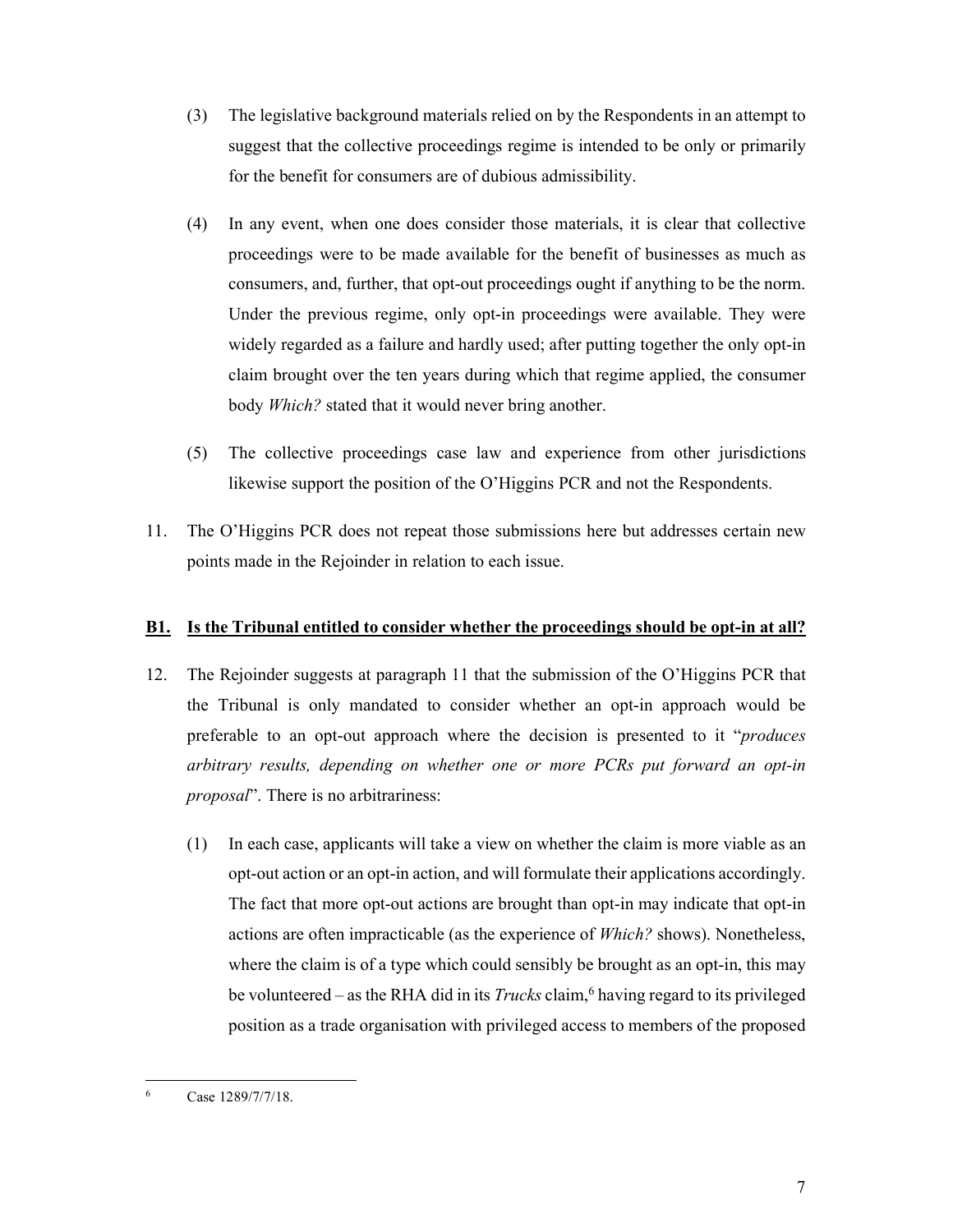- (3) The legislative background materials relied on by the Respondents in an attempt to suggest that the collective proceedings regime is intended to be only or primarily for the benefit for consumers are of dubious admissibility.
- (4) In any event, when one does consider those materials, it is clear that collective proceedings were to be made available for the benefit of businesses as much as consumers, and, further, that opt-out proceedings ought if anything to be the norm. Under the previous regime, only opt-in proceedings were available. They were widely regarded as a failure and hardly used; after putting together the only opt-in claim brought over the ten years during which that regime applied, the consumer body *Which?* stated that it would never bring another.
- (5) The collective proceedings case law and experience from other jurisdictions likewise support the position of the O'Higgins PCR and not the Respondents.
- 11. The O'Higgins PCR does not repeat those submissions here but addresses certain new points made in the Rejoinder in relation to each issue.

### **B1. Is the Tribunal entitled to consider whether the proceedings should be opt-in at all?**

- 12. The Rejoinder suggests at paragraph 11 that the submission of the O'Higgins PCR that the Tribunal is only mandated to consider whether an opt-in approach would be preferable to an opt-out approach where the decision is presented to it "*produces arbitrary results, depending on whether one or more PCRs put forward an opt-in proposal*". There is no arbitrariness:
	- (1) In each case, applicants will take a view on whether the claim is more viable as an opt-out action or an opt-in action, and will formulate their applications accordingly. The fact that more opt-out actions are brought than opt-in may indicate that opt-in actions are often impracticable (as the experience of *Which?* shows). Nonetheless, where the claim is of a type which could sensibly be brought as an opt-in, this may be volunteered – as the RHA did in its *Trucks* claim,<sup>6</sup> having regard to its privileged position as a trade organisation with privileged access to members of the proposed

<sup>-</sup>6 Case 1289/7/7/18.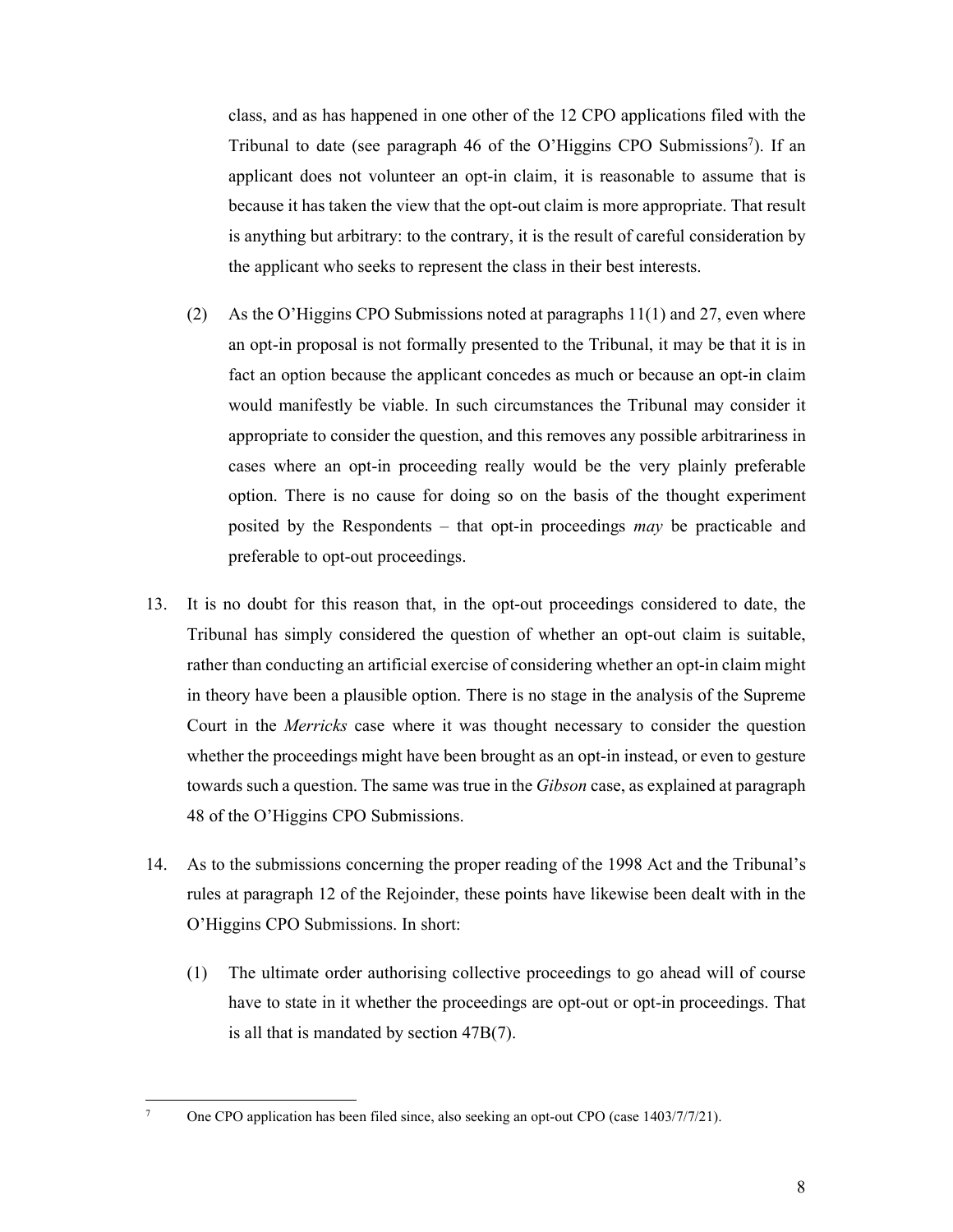class, and as has happened in one other of the 12 CPO applications filed with the Tribunal to date (see paragraph 46 of the O'Higgins CPO Submissions<sup>7</sup>). If an applicant does not volunteer an opt-in claim, it is reasonable to assume that is because it has taken the view that the opt-out claim is more appropriate. That result is anything but arbitrary: to the contrary, it is the result of careful consideration by the applicant who seeks to represent the class in their best interests.

- (2) As the O'Higgins CPO Submissions noted at paragraphs 11(1) and 27, even where an opt-in proposal is not formally presented to the Tribunal, it may be that it is in fact an option because the applicant concedes as much or because an opt-in claim would manifestly be viable. In such circumstances the Tribunal may consider it appropriate to consider the question, and this removes any possible arbitrariness in cases where an opt-in proceeding really would be the very plainly preferable option. There is no cause for doing so on the basis of the thought experiment posited by the Respondents – that opt-in proceedings *may* be practicable and preferable to opt-out proceedings.
- 13. It is no doubt for this reason that, in the opt-out proceedings considered to date, the Tribunal has simply considered the question of whether an opt-out claim is suitable, rather than conducting an artificial exercise of considering whether an opt-in claim might in theory have been a plausible option. There is no stage in the analysis of the Supreme Court in the *Merricks* case where it was thought necessary to consider the question whether the proceedings might have been brought as an opt-in instead, or even to gesture towards such a question. The same was true in the *Gibson* case, as explained at paragraph 48 of the O'Higgins CPO Submissions.
- 14. As to the submissions concerning the proper reading of the 1998 Act and the Tribunal's rules at paragraph 12 of the Rejoinder, these points have likewise been dealt with in the O'Higgins CPO Submissions. In short:
	- (1) The ultimate order authorising collective proceedings to go ahead will of course have to state in it whether the proceedings are opt-out or opt-in proceedings. That is all that is mandated by section 47B(7).

-7

One CPO application has been filed since, also seeking an opt-out CPO (case 1403/7/7/21).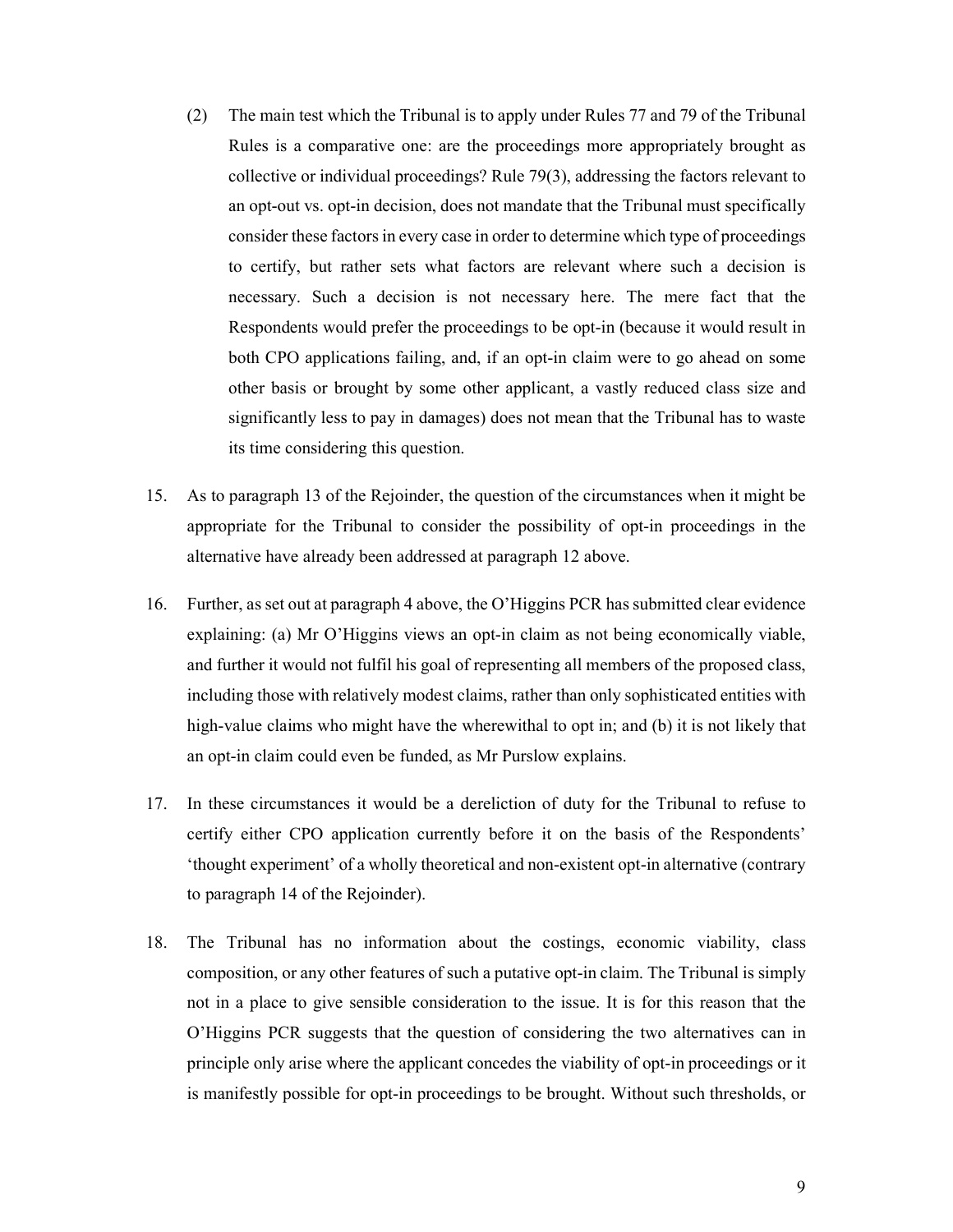- (2) The main test which the Tribunal is to apply under Rules 77 and 79 of the Tribunal Rules is a comparative one: are the proceedings more appropriately brought as collective or individual proceedings? Rule 79(3), addressing the factors relevant to an opt-out vs. opt-in decision, does not mandate that the Tribunal must specifically consider these factors in every case in order to determine which type of proceedings to certify, but rather sets what factors are relevant where such a decision is necessary. Such a decision is not necessary here. The mere fact that the Respondents would prefer the proceedings to be opt-in (because it would result in both CPO applications failing, and, if an opt-in claim were to go ahead on some other basis or brought by some other applicant, a vastly reduced class size and significantly less to pay in damages) does not mean that the Tribunal has to waste its time considering this question.
- 15. As to paragraph 13 of the Rejoinder, the question of the circumstances when it might be appropriate for the Tribunal to consider the possibility of opt-in proceedings in the alternative have already been addressed at paragraph 12 above.
- 16. Further, as set out at paragraph 4 above, the O'Higgins PCR has submitted clear evidence explaining: (a) Mr O'Higgins views an opt-in claim as not being economically viable, and further it would not fulfil his goal of representing all members of the proposed class, including those with relatively modest claims, rather than only sophisticated entities with high-value claims who might have the wherewithal to opt in; and (b) it is not likely that an opt-in claim could even be funded, as Mr Purslow explains.
- 17. In these circumstances it would be a dereliction of duty for the Tribunal to refuse to certify either CPO application currently before it on the basis of the Respondents' 'thought experiment' of a wholly theoretical and non-existent opt-in alternative (contrary to paragraph 14 of the Rejoinder).
- 18. The Tribunal has no information about the costings, economic viability, class composition, or any other features of such a putative opt-in claim. The Tribunal is simply not in a place to give sensible consideration to the issue. It is for this reason that the O'Higgins PCR suggests that the question of considering the two alternatives can in principle only arise where the applicant concedes the viability of opt-in proceedings or it is manifestly possible for opt-in proceedings to be brought. Without such thresholds, or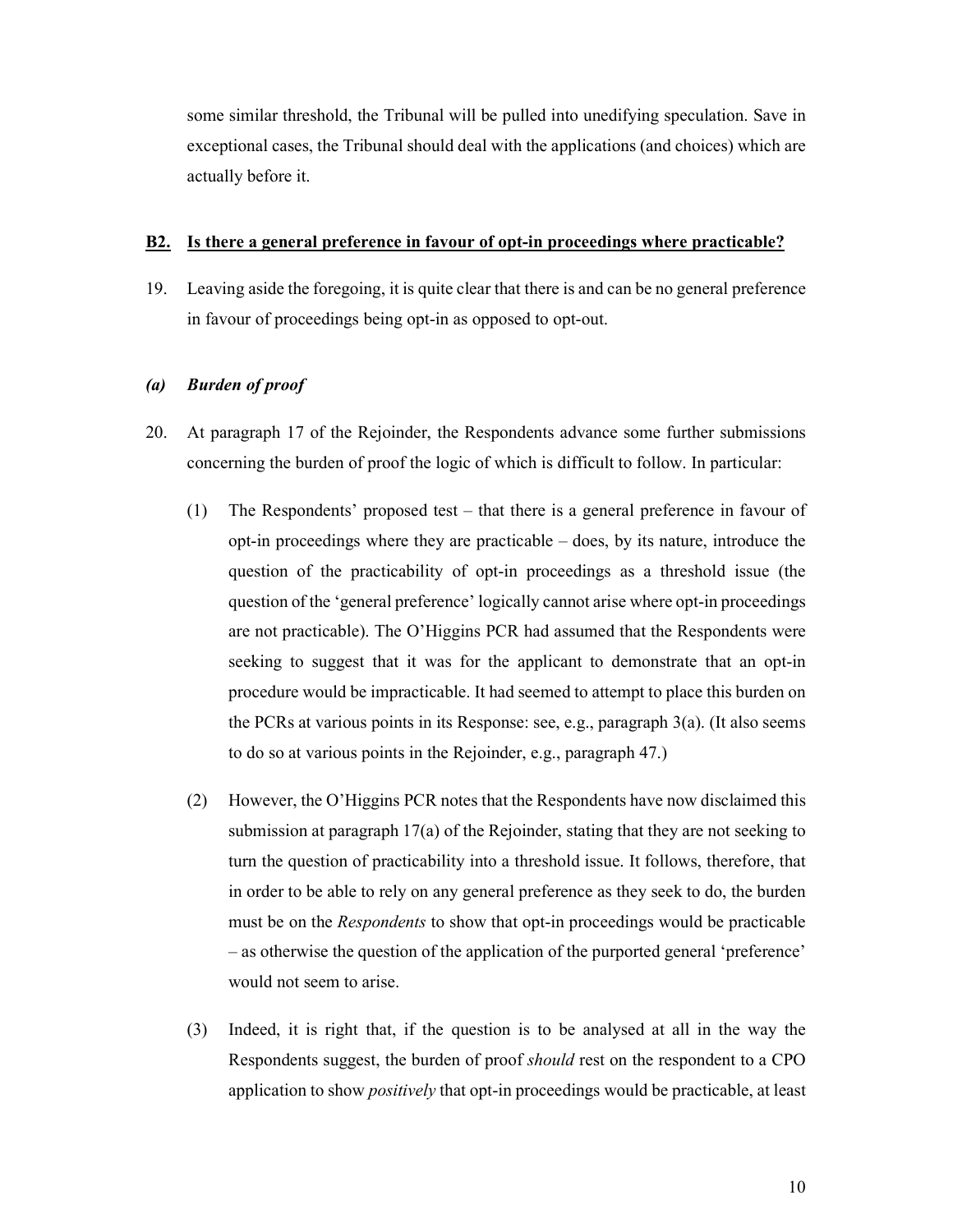some similar threshold, the Tribunal will be pulled into unedifying speculation. Save in exceptional cases, the Tribunal should deal with the applications (and choices) which are actually before it.

### **B2. Is there a general preference in favour of opt-in proceedings where practicable?**

19. Leaving aside the foregoing, it is quite clear that there is and can be no general preference in favour of proceedings being opt-in as opposed to opt-out.

# *(a) Burden of proof*

- 20. At paragraph 17 of the Rejoinder, the Respondents advance some further submissions concerning the burden of proof the logic of which is difficult to follow. In particular:
	- (1) The Respondents' proposed test that there is a general preference in favour of opt-in proceedings where they are practicable – does, by its nature, introduce the question of the practicability of opt-in proceedings as a threshold issue (the question of the 'general preference' logically cannot arise where opt-in proceedings are not practicable). The O'Higgins PCR had assumed that the Respondents were seeking to suggest that it was for the applicant to demonstrate that an opt-in procedure would be impracticable. It had seemed to attempt to place this burden on the PCRs at various points in its Response: see, e.g., paragraph 3(a). (It also seems to do so at various points in the Rejoinder, e.g., paragraph 47.)
	- (2) However, the O'Higgins PCR notes that the Respondents have now disclaimed this submission at paragraph 17(a) of the Rejoinder, stating that they are not seeking to turn the question of practicability into a threshold issue. It follows, therefore, that in order to be able to rely on any general preference as they seek to do, the burden must be on the *Respondents* to show that opt-in proceedings would be practicable – as otherwise the question of the application of the purported general 'preference' would not seem to arise.
	- (3) Indeed, it is right that, if the question is to be analysed at all in the way the Respondents suggest, the burden of proof *should* rest on the respondent to a CPO application to show *positively* that opt-in proceedings would be practicable, at least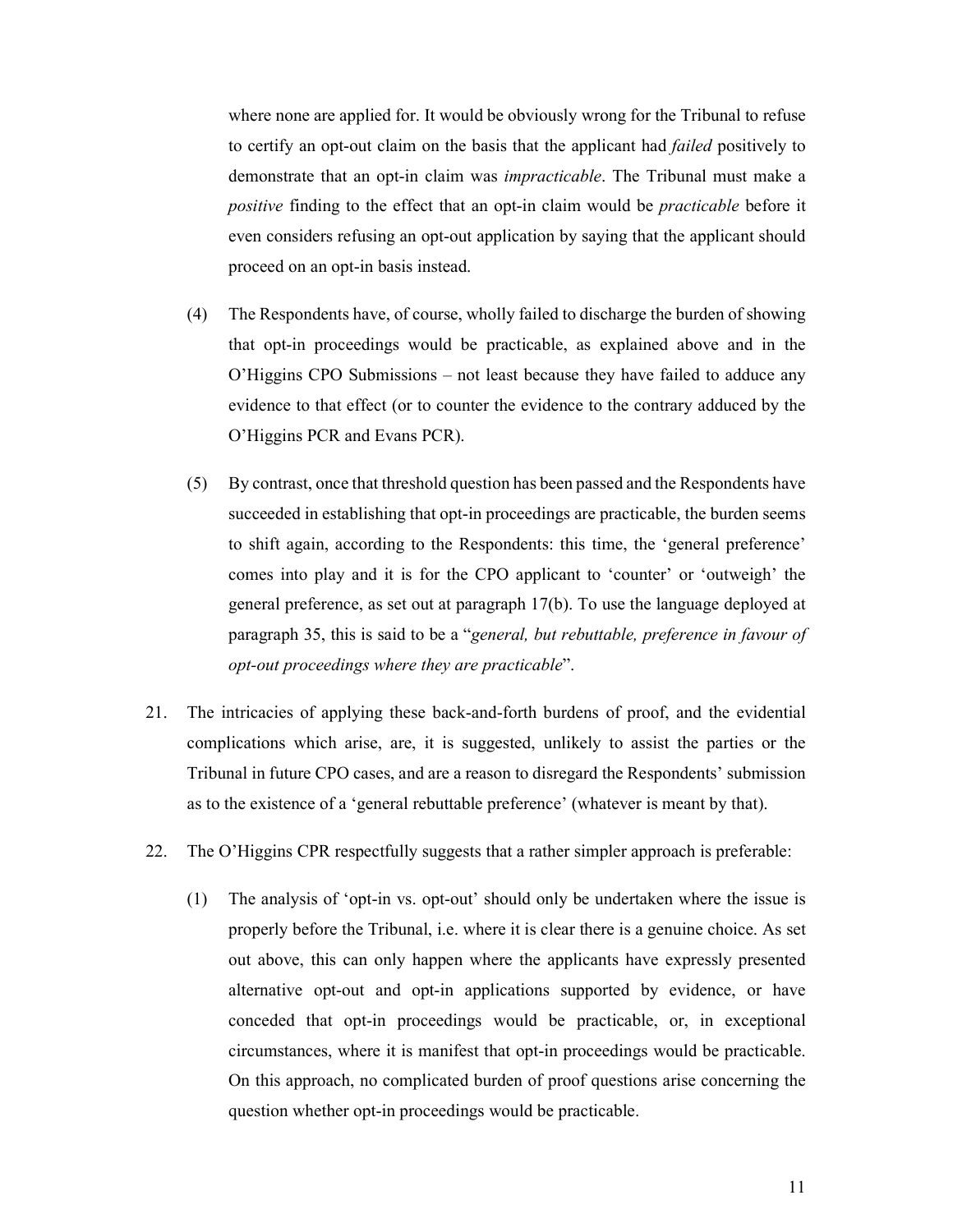where none are applied for. It would be obviously wrong for the Tribunal to refuse to certify an opt-out claim on the basis that the applicant had *failed* positively to demonstrate that an opt-in claim was *impracticable*. The Tribunal must make a *positive* finding to the effect that an opt-in claim would be *practicable* before it even considers refusing an opt-out application by saying that the applicant should proceed on an opt-in basis instead.

- (4) The Respondents have, of course, wholly failed to discharge the burden of showing that opt-in proceedings would be practicable, as explained above and in the O'Higgins CPO Submissions – not least because they have failed to adduce any evidence to that effect (or to counter the evidence to the contrary adduced by the O'Higgins PCR and Evans PCR).
- (5) By contrast, once that threshold question has been passed and the Respondents have succeeded in establishing that opt-in proceedings are practicable, the burden seems to shift again, according to the Respondents: this time, the 'general preference' comes into play and it is for the CPO applicant to 'counter' or 'outweigh' the general preference, as set out at paragraph 17(b). To use the language deployed at paragraph 35, this is said to be a "*general, but rebuttable, preference in favour of opt-out proceedings where they are practicable*".
- 21. The intricacies of applying these back-and-forth burdens of proof, and the evidential complications which arise, are, it is suggested, unlikely to assist the parties or the Tribunal in future CPO cases, and are a reason to disregard the Respondents' submission as to the existence of a 'general rebuttable preference' (whatever is meant by that).
- 22. The O'Higgins CPR respectfully suggests that a rather simpler approach is preferable:
	- (1) The analysis of 'opt-in vs. opt-out' should only be undertaken where the issue is properly before the Tribunal, i.e. where it is clear there is a genuine choice. As set out above, this can only happen where the applicants have expressly presented alternative opt-out and opt-in applications supported by evidence, or have conceded that opt-in proceedings would be practicable, or, in exceptional circumstances, where it is manifest that opt-in proceedings would be practicable. On this approach, no complicated burden of proof questions arise concerning the question whether opt-in proceedings would be practicable.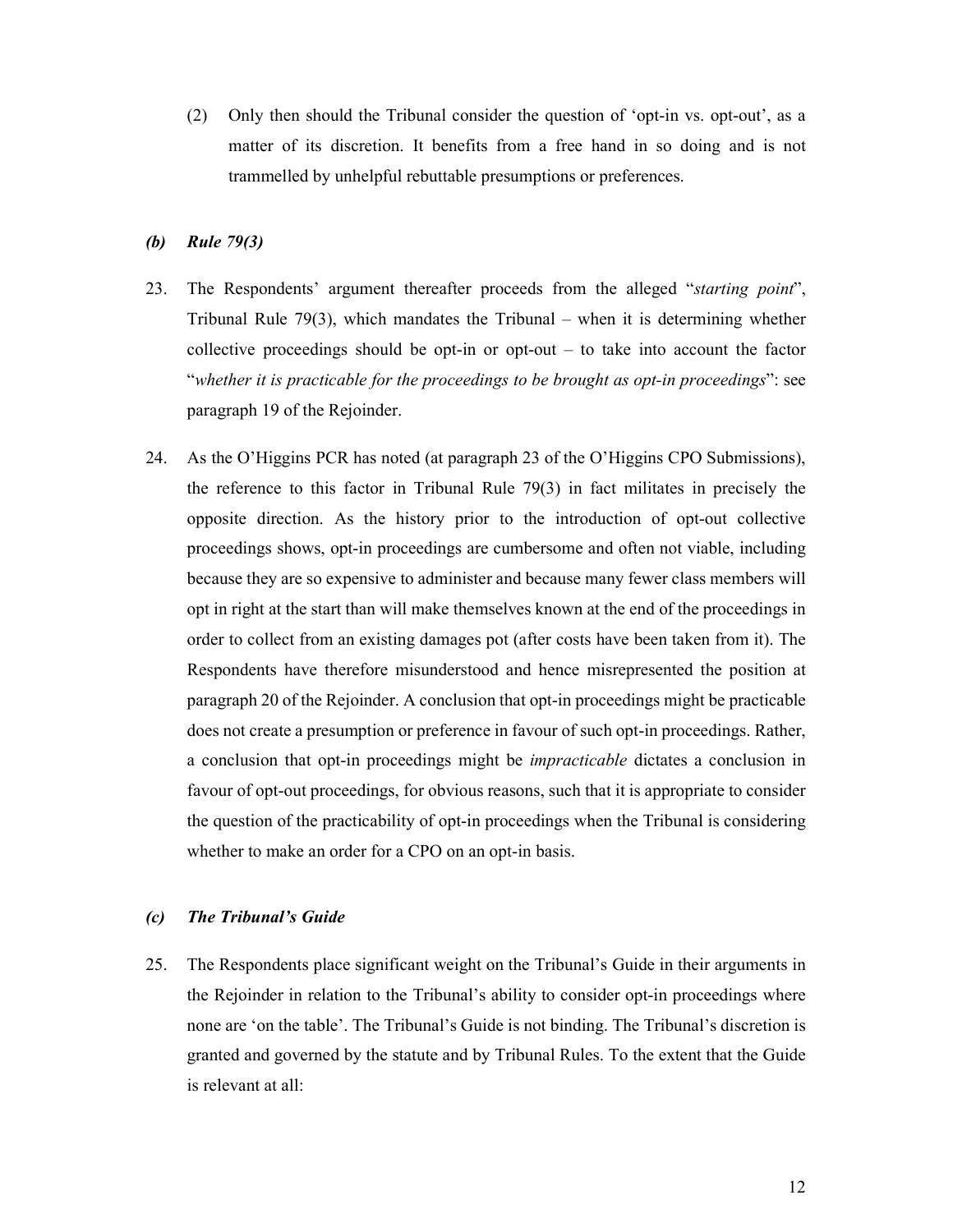(2) Only then should the Tribunal consider the question of 'opt-in vs. opt-out', as a matter of its discretion. It benefits from a free hand in so doing and is not trammelled by unhelpful rebuttable presumptions or preferences.

#### *(b) Rule 79(3)*

- 23. The Respondents' argument thereafter proceeds from the alleged "*starting point*", Tribunal Rule 79(3), which mandates the Tribunal – when it is determining whether collective proceedings should be opt-in or opt-out – to take into account the factor "*whether it is practicable for the proceedings to be brought as opt-in proceedings*": see paragraph 19 of the Rejoinder.
- 24. As the O'Higgins PCR has noted (at paragraph 23 of the O'Higgins CPO Submissions), the reference to this factor in Tribunal Rule 79(3) in fact militates in precisely the opposite direction. As the history prior to the introduction of opt-out collective proceedings shows, opt-in proceedings are cumbersome and often not viable, including because they are so expensive to administer and because many fewer class members will opt in right at the start than will make themselves known at the end of the proceedings in order to collect from an existing damages pot (after costs have been taken from it). The Respondents have therefore misunderstood and hence misrepresented the position at paragraph 20 of the Rejoinder. A conclusion that opt-in proceedings might be practicable does not create a presumption or preference in favour of such opt-in proceedings. Rather, a conclusion that opt-in proceedings might be *impracticable* dictates a conclusion in favour of opt-out proceedings, for obvious reasons, such that it is appropriate to consider the question of the practicability of opt-in proceedings when the Tribunal is considering whether to make an order for a CPO on an opt-in basis.

### *(c) The Tribunal's Guide*

25. The Respondents place significant weight on the Tribunal's Guide in their arguments in the Rejoinder in relation to the Tribunal's ability to consider opt-in proceedings where none are 'on the table'. The Tribunal's Guide is not binding. The Tribunal's discretion is granted and governed by the statute and by Tribunal Rules. To the extent that the Guide is relevant at all: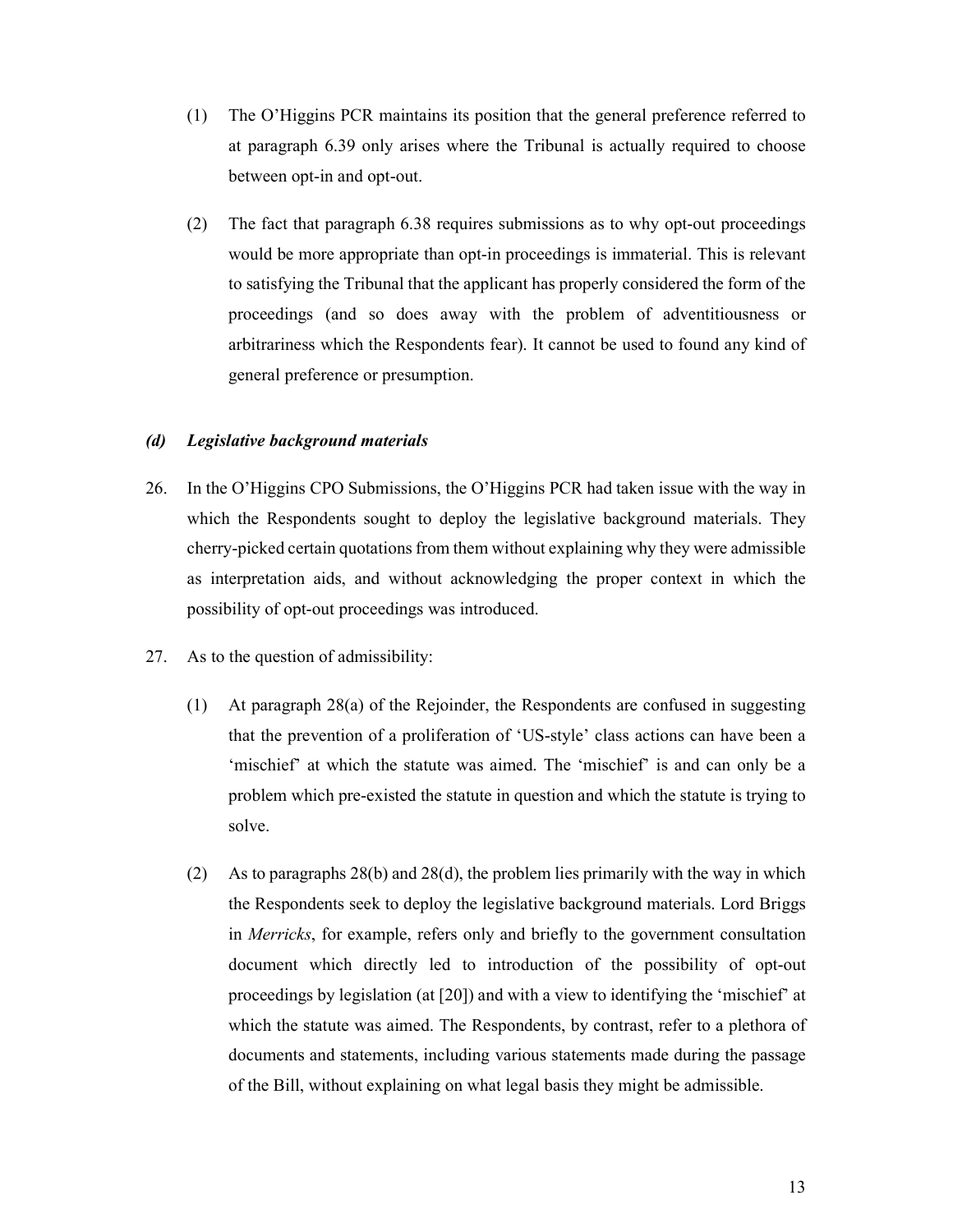- (1) The O'Higgins PCR maintains its position that the general preference referred to at paragraph 6.39 only arises where the Tribunal is actually required to choose between opt-in and opt-out.
- (2) The fact that paragraph 6.38 requires submissions as to why opt-out proceedings would be more appropriate than opt-in proceedings is immaterial. This is relevant to satisfying the Tribunal that the applicant has properly considered the form of the proceedings (and so does away with the problem of adventitiousness or arbitrariness which the Respondents fear). It cannot be used to found any kind of general preference or presumption.

### *(d) Legislative background materials*

- 26. In the O'Higgins CPO Submissions, the O'Higgins PCR had taken issue with the way in which the Respondents sought to deploy the legislative background materials. They cherry-picked certain quotations from them without explaining why they were admissible as interpretation aids, and without acknowledging the proper context in which the possibility of opt-out proceedings was introduced.
- 27. As to the question of admissibility:
	- (1) At paragraph 28(a) of the Rejoinder, the Respondents are confused in suggesting that the prevention of a proliferation of 'US-style' class actions can have been a 'mischief' at which the statute was aimed. The 'mischief' is and can only be a problem which pre-existed the statute in question and which the statute is trying to solve.
	- (2) As to paragraphs 28(b) and 28(d), the problem lies primarily with the way in which the Respondents seek to deploy the legislative background materials. Lord Briggs in *Merricks*, for example, refers only and briefly to the government consultation document which directly led to introduction of the possibility of opt-out proceedings by legislation (at [20]) and with a view to identifying the 'mischief' at which the statute was aimed. The Respondents, by contrast, refer to a plethora of documents and statements, including various statements made during the passage of the Bill, without explaining on what legal basis they might be admissible.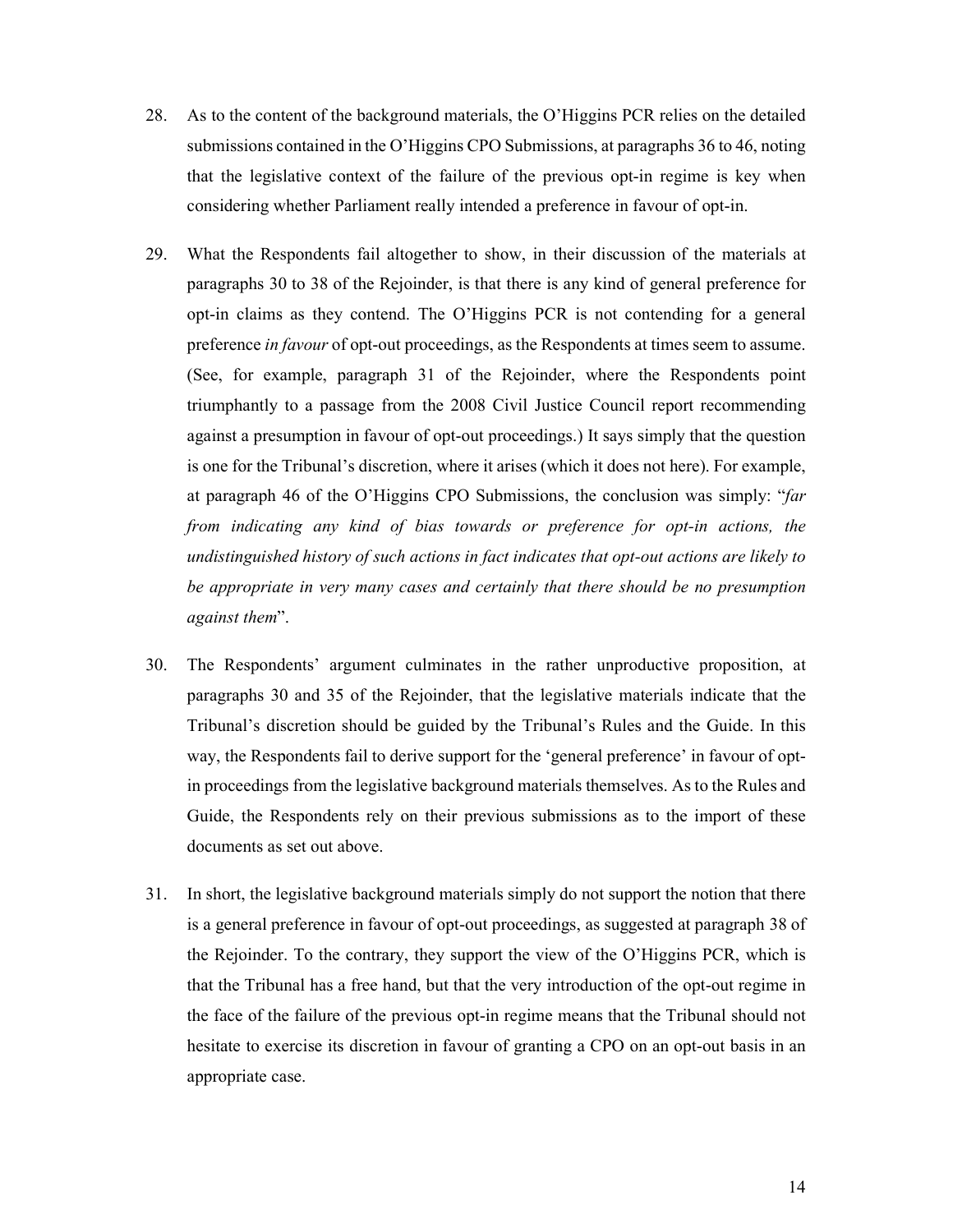- 28. As to the content of the background materials, the O'Higgins PCR relies on the detailed submissions contained in the O'Higgins CPO Submissions, at paragraphs 36 to 46, noting that the legislative context of the failure of the previous opt-in regime is key when considering whether Parliament really intended a preference in favour of opt-in.
- 29. What the Respondents fail altogether to show, in their discussion of the materials at paragraphs 30 to 38 of the Rejoinder, is that there is any kind of general preference for opt-in claims as they contend. The O'Higgins PCR is not contending for a general preference *in favour* of opt-out proceedings, as the Respondents at times seem to assume. (See, for example, paragraph 31 of the Rejoinder, where the Respondents point triumphantly to a passage from the 2008 Civil Justice Council report recommending against a presumption in favour of opt-out proceedings.) It says simply that the question is one for the Tribunal's discretion, where it arises (which it does not here). For example, at paragraph 46 of the O'Higgins CPO Submissions, the conclusion was simply: "*far from indicating any kind of bias towards or preference for opt-in actions, the undistinguished history of such actions in fact indicates that opt-out actions are likely to be appropriate in very many cases and certainly that there should be no presumption against them*".
- 30. The Respondents' argument culminates in the rather unproductive proposition, at paragraphs 30 and 35 of the Rejoinder, that the legislative materials indicate that the Tribunal's discretion should be guided by the Tribunal's Rules and the Guide. In this way, the Respondents fail to derive support for the 'general preference' in favour of optin proceedings from the legislative background materials themselves. As to the Rules and Guide, the Respondents rely on their previous submissions as to the import of these documents as set out above.
- 31. In short, the legislative background materials simply do not support the notion that there is a general preference in favour of opt-out proceedings, as suggested at paragraph 38 of the Rejoinder. To the contrary, they support the view of the O'Higgins PCR, which is that the Tribunal has a free hand, but that the very introduction of the opt-out regime in the face of the failure of the previous opt-in regime means that the Tribunal should not hesitate to exercise its discretion in favour of granting a CPO on an opt-out basis in an appropriate case.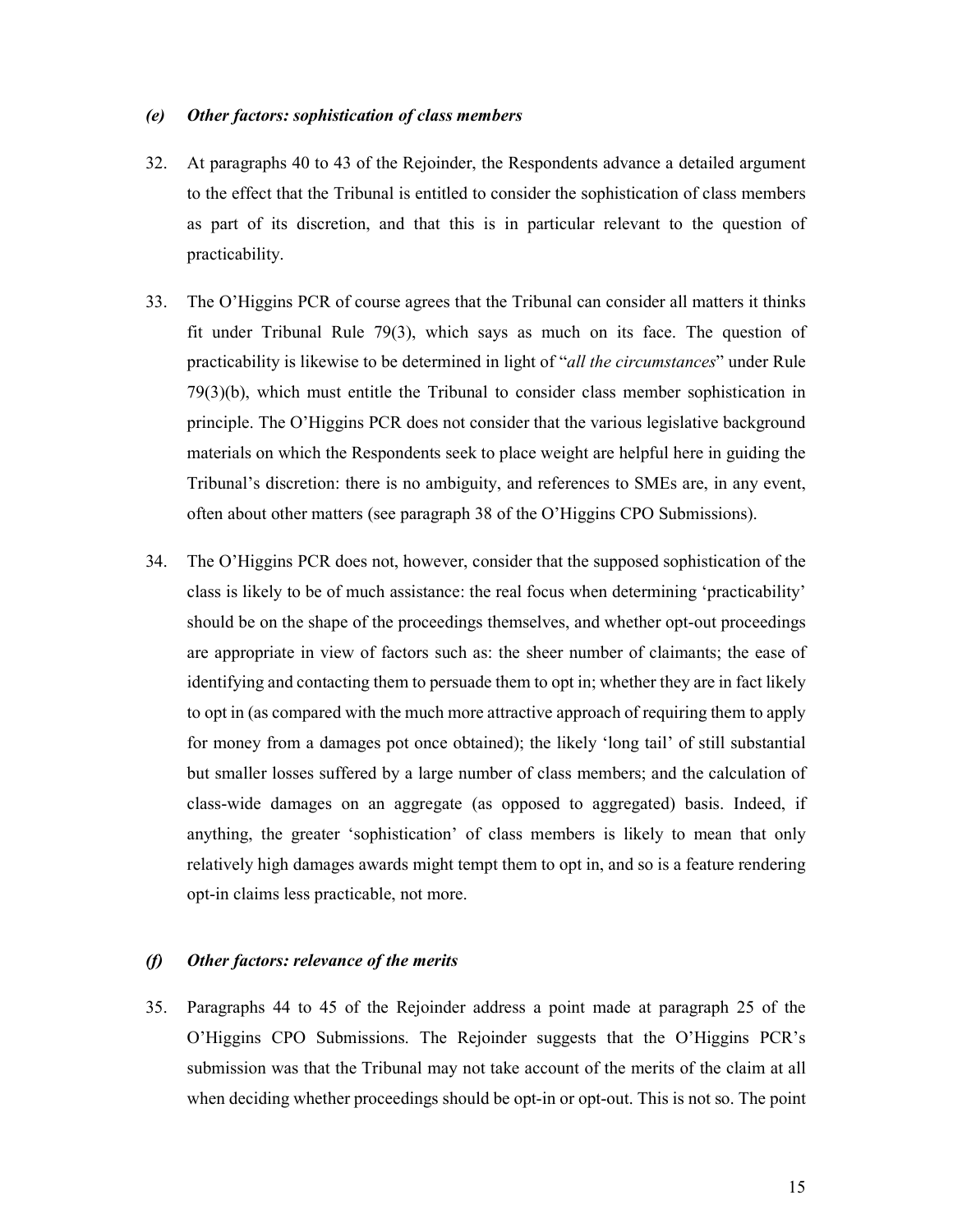#### *(e) Other factors: sophistication of class members*

- 32. At paragraphs 40 to 43 of the Rejoinder, the Respondents advance a detailed argument to the effect that the Tribunal is entitled to consider the sophistication of class members as part of its discretion, and that this is in particular relevant to the question of practicability.
- 33. The O'Higgins PCR of course agrees that the Tribunal can consider all matters it thinks fit under Tribunal Rule 79(3), which says as much on its face. The question of practicability is likewise to be determined in light of "*all the circumstances*" under Rule 79(3)(b), which must entitle the Tribunal to consider class member sophistication in principle. The O'Higgins PCR does not consider that the various legislative background materials on which the Respondents seek to place weight are helpful here in guiding the Tribunal's discretion: there is no ambiguity, and references to SMEs are, in any event, often about other matters (see paragraph 38 of the O'Higgins CPO Submissions).
- 34. The O'Higgins PCR does not, however, consider that the supposed sophistication of the class is likely to be of much assistance: the real focus when determining 'practicability' should be on the shape of the proceedings themselves, and whether opt-out proceedings are appropriate in view of factors such as: the sheer number of claimants; the ease of identifying and contacting them to persuade them to opt in; whether they are in fact likely to opt in (as compared with the much more attractive approach of requiring them to apply for money from a damages pot once obtained); the likely 'long tail' of still substantial but smaller losses suffered by a large number of class members; and the calculation of class-wide damages on an aggregate (as opposed to aggregated) basis. Indeed, if anything, the greater 'sophistication' of class members is likely to mean that only relatively high damages awards might tempt them to opt in, and so is a feature rendering opt-in claims less practicable, not more.

#### *(f) Other factors: relevance of the merits*

35. Paragraphs 44 to 45 of the Rejoinder address a point made at paragraph 25 of the O'Higgins CPO Submissions. The Rejoinder suggests that the O'Higgins PCR's submission was that the Tribunal may not take account of the merits of the claim at all when deciding whether proceedings should be opt-in or opt-out. This is not so. The point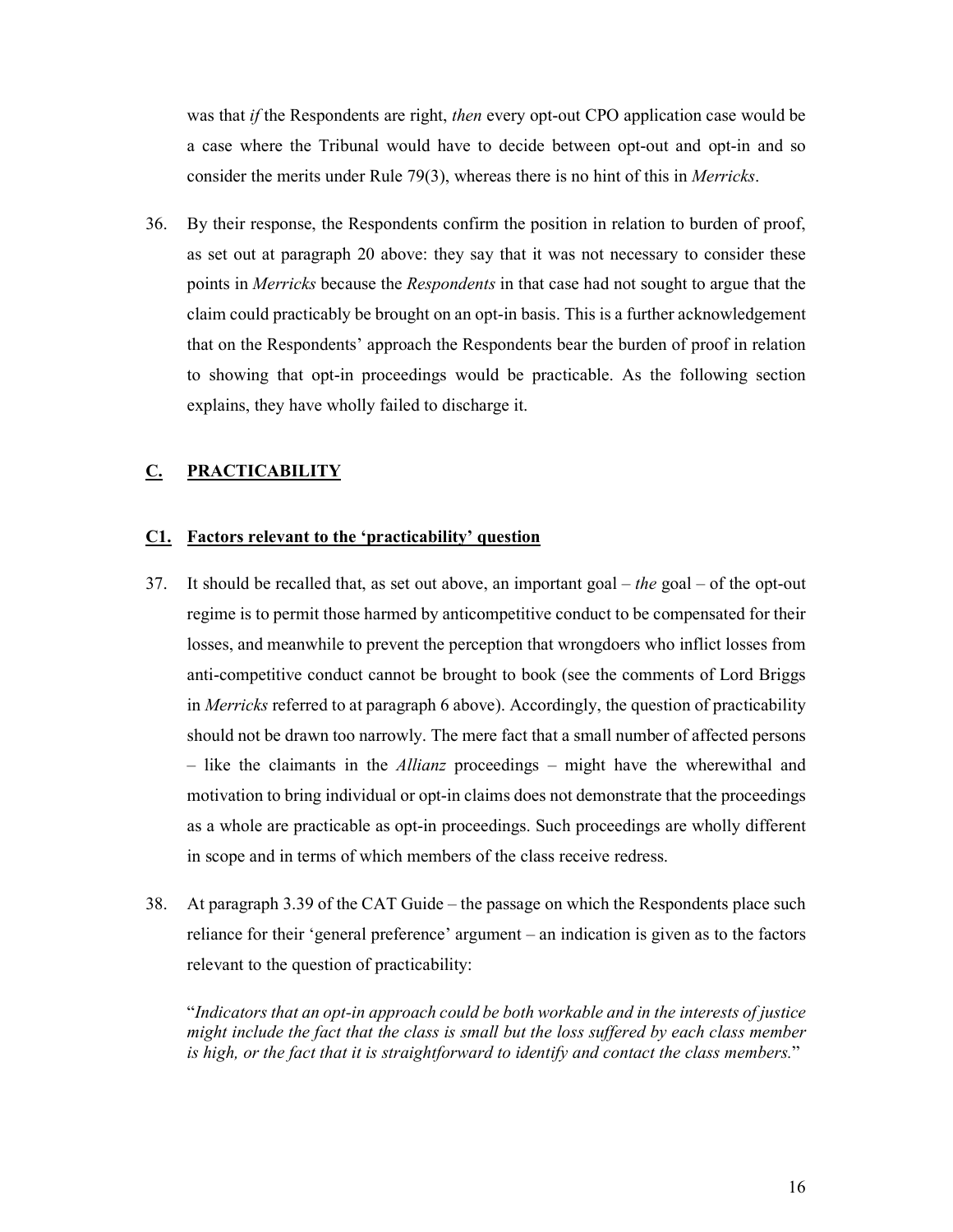was that *if* the Respondents are right, *then* every opt-out CPO application case would be a case where the Tribunal would have to decide between opt-out and opt-in and so consider the merits under Rule 79(3), whereas there is no hint of this in *Merricks*.

36. By their response, the Respondents confirm the position in relation to burden of proof, as set out at paragraph 20 above: they say that it was not necessary to consider these points in *Merricks* because the *Respondents* in that case had not sought to argue that the claim could practicably be brought on an opt-in basis. This is a further acknowledgement that on the Respondents' approach the Respondents bear the burden of proof in relation to showing that opt-in proceedings would be practicable. As the following section explains, they have wholly failed to discharge it.

### **C. PRACTICABILITY**

#### **C1. Factors relevant to the 'practicability' question**

- 37. It should be recalled that, as set out above, an important goal *the* goal of the opt-out regime is to permit those harmed by anticompetitive conduct to be compensated for their losses, and meanwhile to prevent the perception that wrongdoers who inflict losses from anti-competitive conduct cannot be brought to book (see the comments of Lord Briggs in *Merricks* referred to at paragraph 6 above). Accordingly, the question of practicability should not be drawn too narrowly. The mere fact that a small number of affected persons – like the claimants in the *Allianz* proceedings – might have the wherewithal and motivation to bring individual or opt-in claims does not demonstrate that the proceedings as a whole are practicable as opt-in proceedings. Such proceedings are wholly different in scope and in terms of which members of the class receive redress.
- 38. At paragraph 3.39 of the CAT Guide the passage on which the Respondents place such reliance for their 'general preference' argument – an indication is given as to the factors relevant to the question of practicability:

"*Indicators that an opt-in approach could be both workable and in the interests of justice might include the fact that the class is small but the loss suffered by each class member is high, or the fact that it is straightforward to identify and contact the class members.*"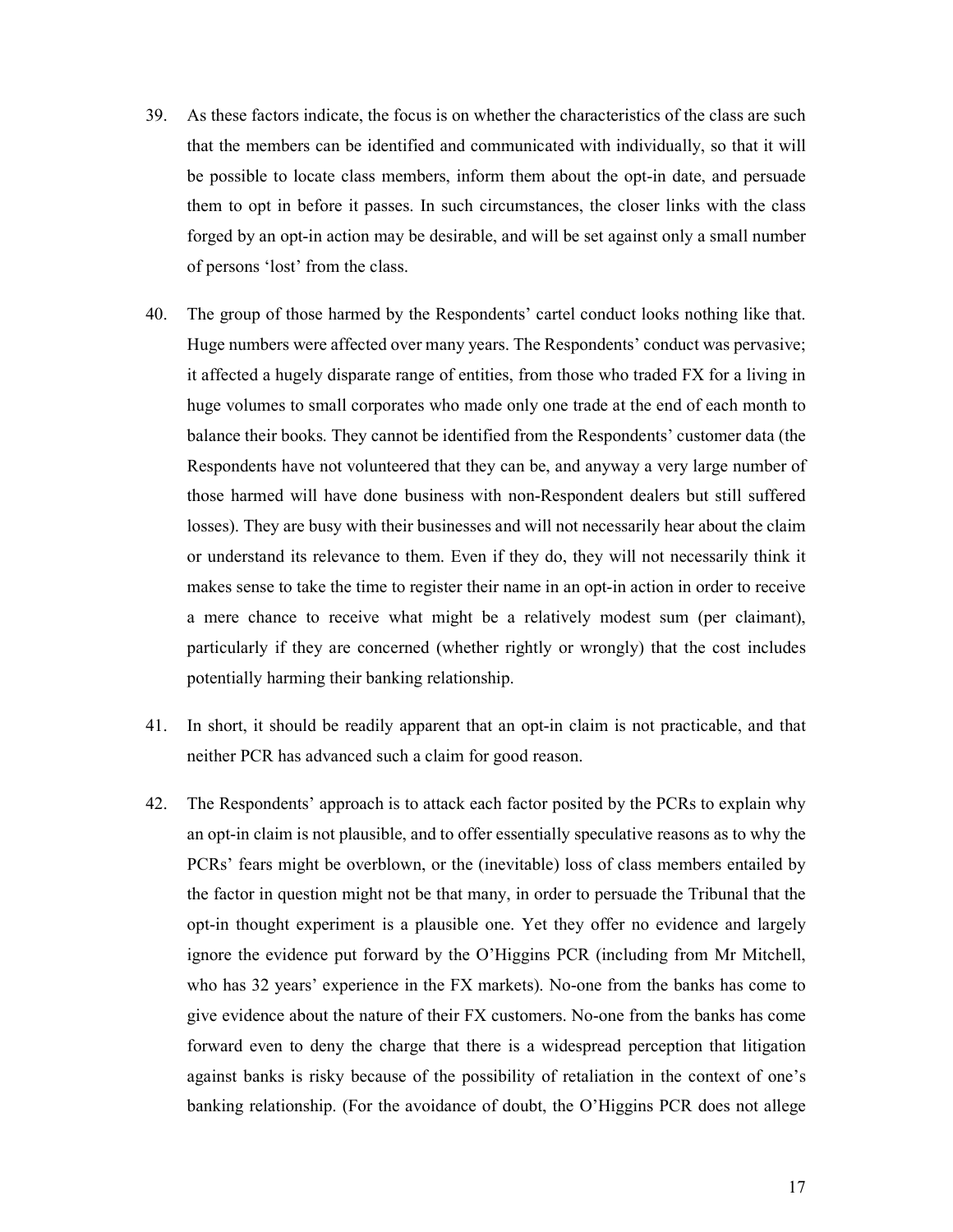- 39. As these factors indicate, the focus is on whether the characteristics of the class are such that the members can be identified and communicated with individually, so that it will be possible to locate class members, inform them about the opt-in date, and persuade them to opt in before it passes. In such circumstances, the closer links with the class forged by an opt-in action may be desirable, and will be set against only a small number of persons 'lost' from the class.
- 40. The group of those harmed by the Respondents' cartel conduct looks nothing like that. Huge numbers were affected over many years. The Respondents' conduct was pervasive; it affected a hugely disparate range of entities, from those who traded FX for a living in huge volumes to small corporates who made only one trade at the end of each month to balance their books. They cannot be identified from the Respondents' customer data (the Respondents have not volunteered that they can be, and anyway a very large number of those harmed will have done business with non-Respondent dealers but still suffered losses). They are busy with their businesses and will not necessarily hear about the claim or understand its relevance to them. Even if they do, they will not necessarily think it makes sense to take the time to register their name in an opt-in action in order to receive a mere chance to receive what might be a relatively modest sum (per claimant), particularly if they are concerned (whether rightly or wrongly) that the cost includes potentially harming their banking relationship.
- 41. In short, it should be readily apparent that an opt-in claim is not practicable, and that neither PCR has advanced such a claim for good reason.
- 42. The Respondents' approach is to attack each factor posited by the PCRs to explain why an opt-in claim is not plausible, and to offer essentially speculative reasons as to why the PCRs' fears might be overblown, or the (inevitable) loss of class members entailed by the factor in question might not be that many, in order to persuade the Tribunal that the opt-in thought experiment is a plausible one. Yet they offer no evidence and largely ignore the evidence put forward by the O'Higgins PCR (including from Mr Mitchell, who has 32 years' experience in the FX markets). No-one from the banks has come to give evidence about the nature of their FX customers. No-one from the banks has come forward even to deny the charge that there is a widespread perception that litigation against banks is risky because of the possibility of retaliation in the context of one's banking relationship. (For the avoidance of doubt, the O'Higgins PCR does not allege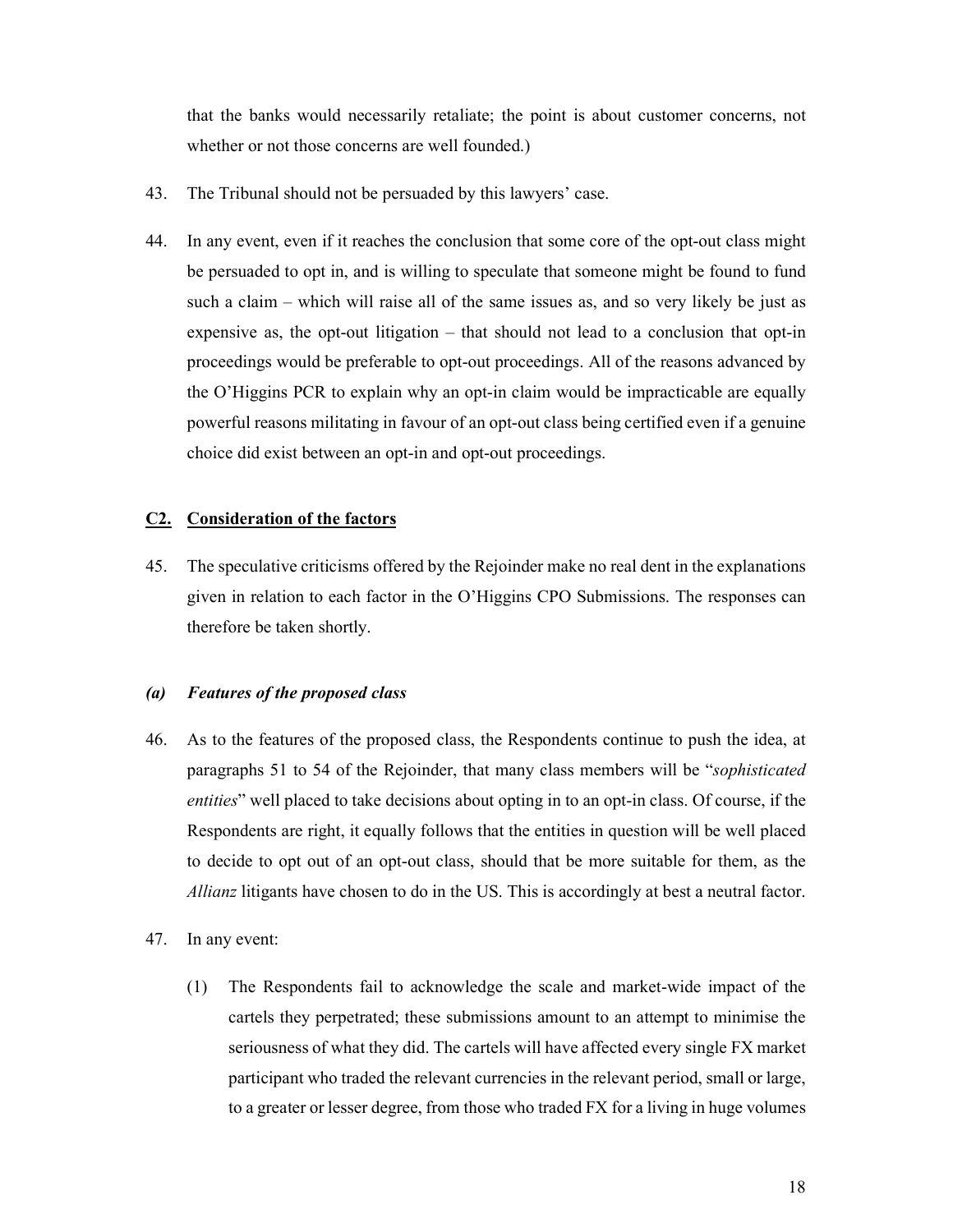that the banks would necessarily retaliate; the point is about customer concerns, not whether or not those concerns are well founded.)

- 43. The Tribunal should not be persuaded by this lawyers' case.
- 44. In any event, even if it reaches the conclusion that some core of the opt-out class might be persuaded to opt in, and is willing to speculate that someone might be found to fund such a claim – which will raise all of the same issues as, and so very likely be just as expensive as, the opt-out litigation – that should not lead to a conclusion that opt-in proceedings would be preferable to opt-out proceedings. All of the reasons advanced by the O'Higgins PCR to explain why an opt-in claim would be impracticable are equally powerful reasons militating in favour of an opt-out class being certified even if a genuine choice did exist between an opt-in and opt-out proceedings.

### **C2. Consideration of the factors**

45. The speculative criticisms offered by the Rejoinder make no real dent in the explanations given in relation to each factor in the O'Higgins CPO Submissions. The responses can therefore be taken shortly.

#### *(a) Features of the proposed class*

- 46. As to the features of the proposed class, the Respondents continue to push the idea, at paragraphs 51 to 54 of the Rejoinder, that many class members will be "*sophisticated entities*" well placed to take decisions about opting in to an opt-in class. Of course, if the Respondents are right, it equally follows that the entities in question will be well placed to decide to opt out of an opt-out class, should that be more suitable for them, as the *Allianz* litigants have chosen to do in the US. This is accordingly at best a neutral factor.
- 47. In any event:
	- (1) The Respondents fail to acknowledge the scale and market-wide impact of the cartels they perpetrated; these submissions amount to an attempt to minimise the seriousness of what they did. The cartels will have affected every single FX market participant who traded the relevant currencies in the relevant period, small or large, to a greater or lesser degree, from those who traded FX for a living in huge volumes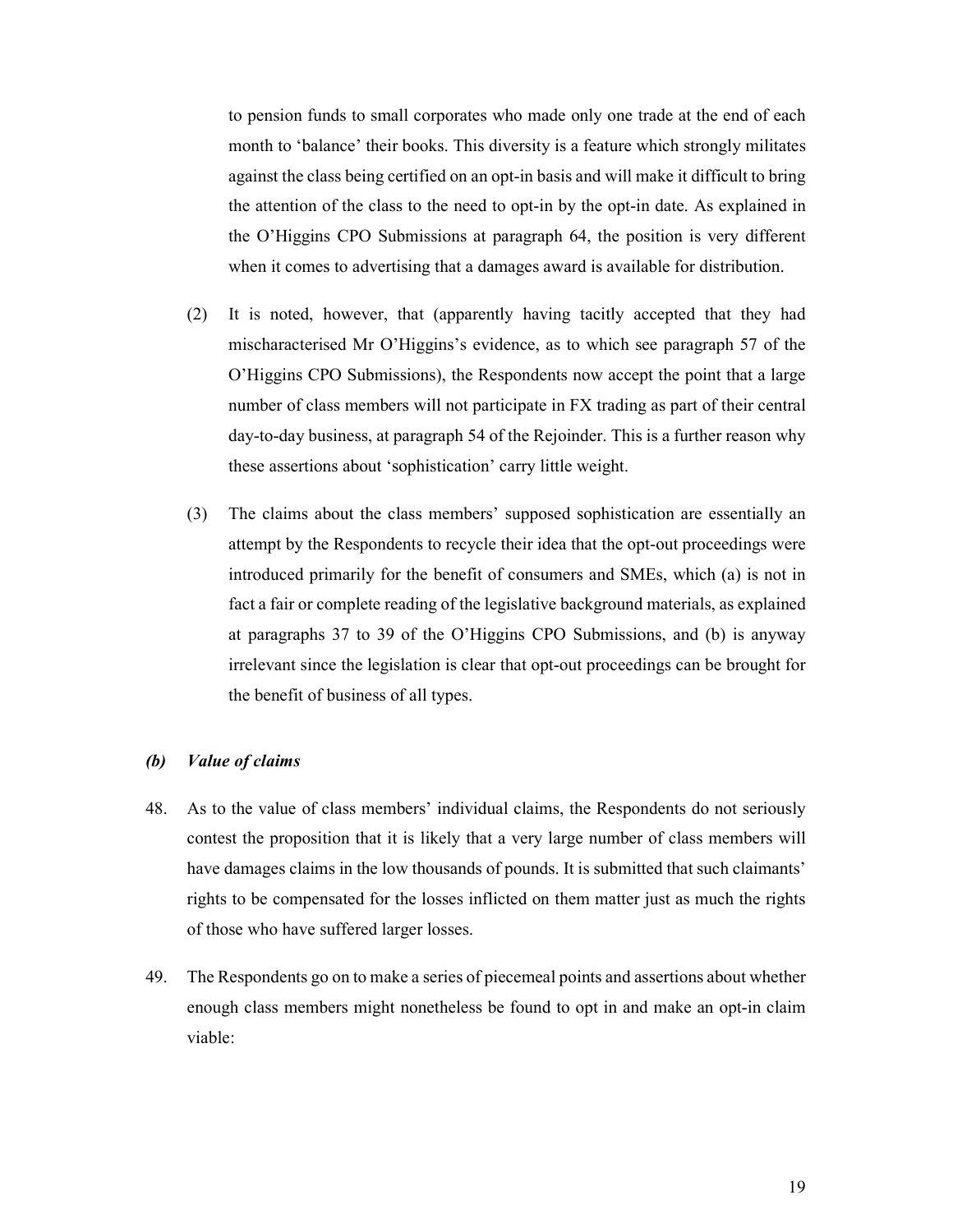to pension funds to small corporates who made only one trade at the end of each month to 'balance' their books. This diversity is a feature which strongly militates against the class being certified on an opt-in basis and will make it difficult to bring the attention of the class to the need to opt-in by the opt-in date. As explained in the O'Higgins CPO Submissions at paragraph 64, the position is very different when it comes to advertising that a damages award is available for distribution.

- (2) It is noted, however, that (apparently having tacitly accepted that they had mischaracterised Mr O'Higgins's evidence, as to which see paragraph 57 of the O'Higgins CPO Submissions), the Respondents now accept the point that a large number of class members will not participate in FX trading as part of their central day-to-day business, at paragraph 54 of the Rejoinder. This is a further reason why these assertions about 'sophistication' carry little weight.
- (3) The claims about the class members' supposed sophistication are essentially an attempt by the Respondents to recycle their idea that the opt-out proceedings were introduced primarily for the benefit of consumers and SMEs, which (a) is not in fact a fair or complete reading of the legislative background materials, as explained at paragraphs 37 to 39 of the O'Higgins CPO Submissions, and (b) is anyway irrelevant since the legislation is clear that opt-out proceedings can be brought for the benefit of business of all types.

### *(b) Value of claims*

- 48. As to the value of class members' individual claims, the Respondents do not seriously contest the proposition that it is likely that a very large number of class members will have damages claims in the low thousands of pounds. It is submitted that such claimants' rights to be compensated for the losses inflicted on them matter just as much the rights of those who have suffered larger losses.
- 49. The Respondents go on to make a series of piecemeal points and assertions about whether enough class members might nonetheless be found to opt in and make an opt-in claim viable: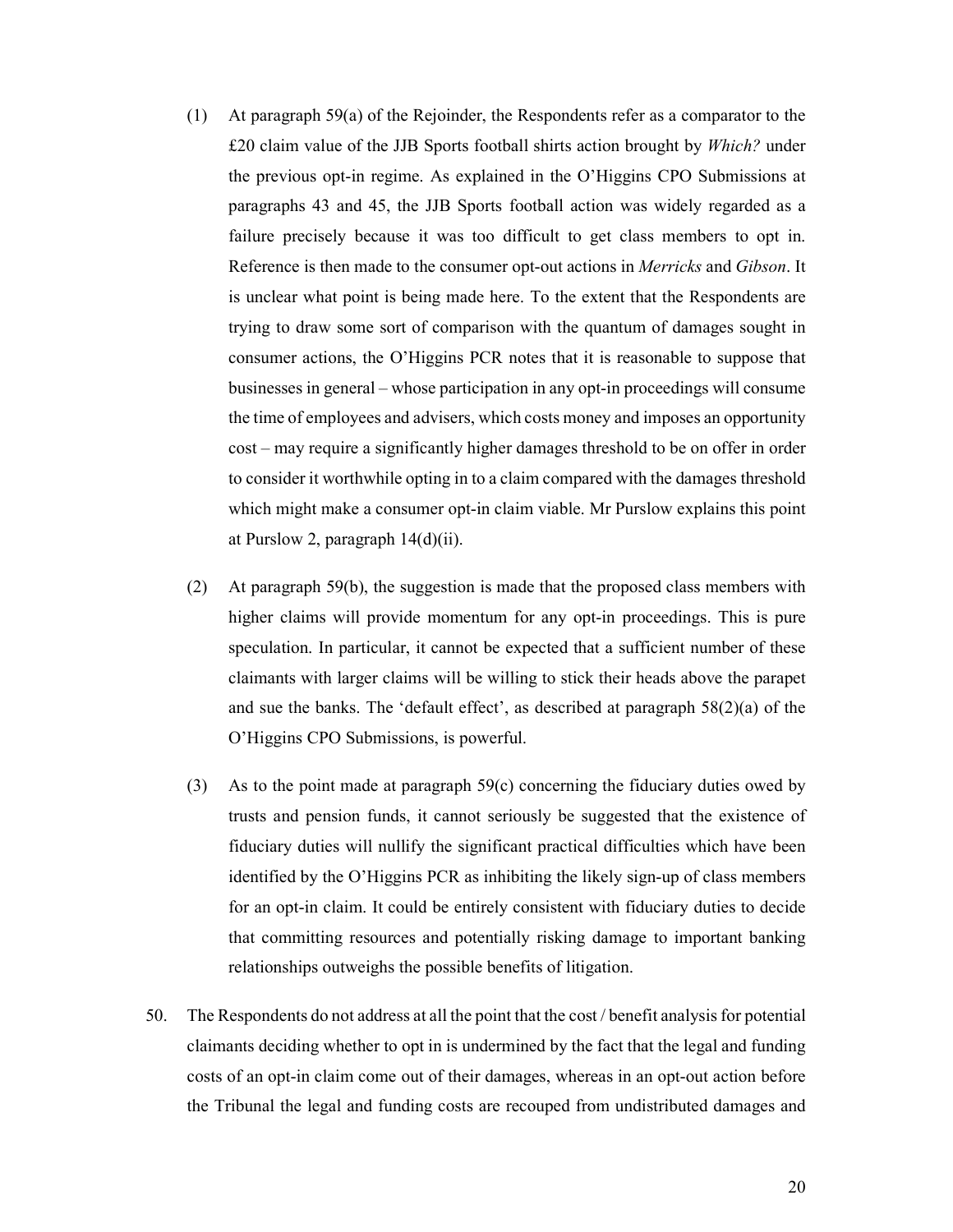- (1) At paragraph 59(a) of the Rejoinder, the Respondents refer as a comparator to the £20 claim value of the JJB Sports football shirts action brought by *Which?* under the previous opt-in regime. As explained in the O'Higgins CPO Submissions at paragraphs 43 and 45, the JJB Sports football action was widely regarded as a failure precisely because it was too difficult to get class members to opt in. Reference is then made to the consumer opt-out actions in *Merricks* and *Gibson*. It is unclear what point is being made here. To the extent that the Respondents are trying to draw some sort of comparison with the quantum of damages sought in consumer actions, the O'Higgins PCR notes that it is reasonable to suppose that businesses in general – whose participation in any opt-in proceedings will consume the time of employees and advisers, which costs money and imposes an opportunity cost – may require a significantly higher damages threshold to be on offer in order to consider it worthwhile opting in to a claim compared with the damages threshold which might make a consumer opt-in claim viable. Mr Purslow explains this point at Purslow 2, paragraph 14(d)(ii).
- (2) At paragraph 59(b), the suggestion is made that the proposed class members with higher claims will provide momentum for any opt-in proceedings. This is pure speculation. In particular, it cannot be expected that a sufficient number of these claimants with larger claims will be willing to stick their heads above the parapet and sue the banks. The 'default effect', as described at paragraph 58(2)(a) of the O'Higgins CPO Submissions, is powerful.
- (3) As to the point made at paragraph 59(c) concerning the fiduciary duties owed by trusts and pension funds, it cannot seriously be suggested that the existence of fiduciary duties will nullify the significant practical difficulties which have been identified by the O'Higgins PCR as inhibiting the likely sign-up of class members for an opt-in claim. It could be entirely consistent with fiduciary duties to decide that committing resources and potentially risking damage to important banking relationships outweighs the possible benefits of litigation.
- 50. The Respondents do not address at all the point that the cost / benefit analysis for potential claimants deciding whether to opt in is undermined by the fact that the legal and funding costs of an opt-in claim come out of their damages, whereas in an opt-out action before the Tribunal the legal and funding costs are recouped from undistributed damages and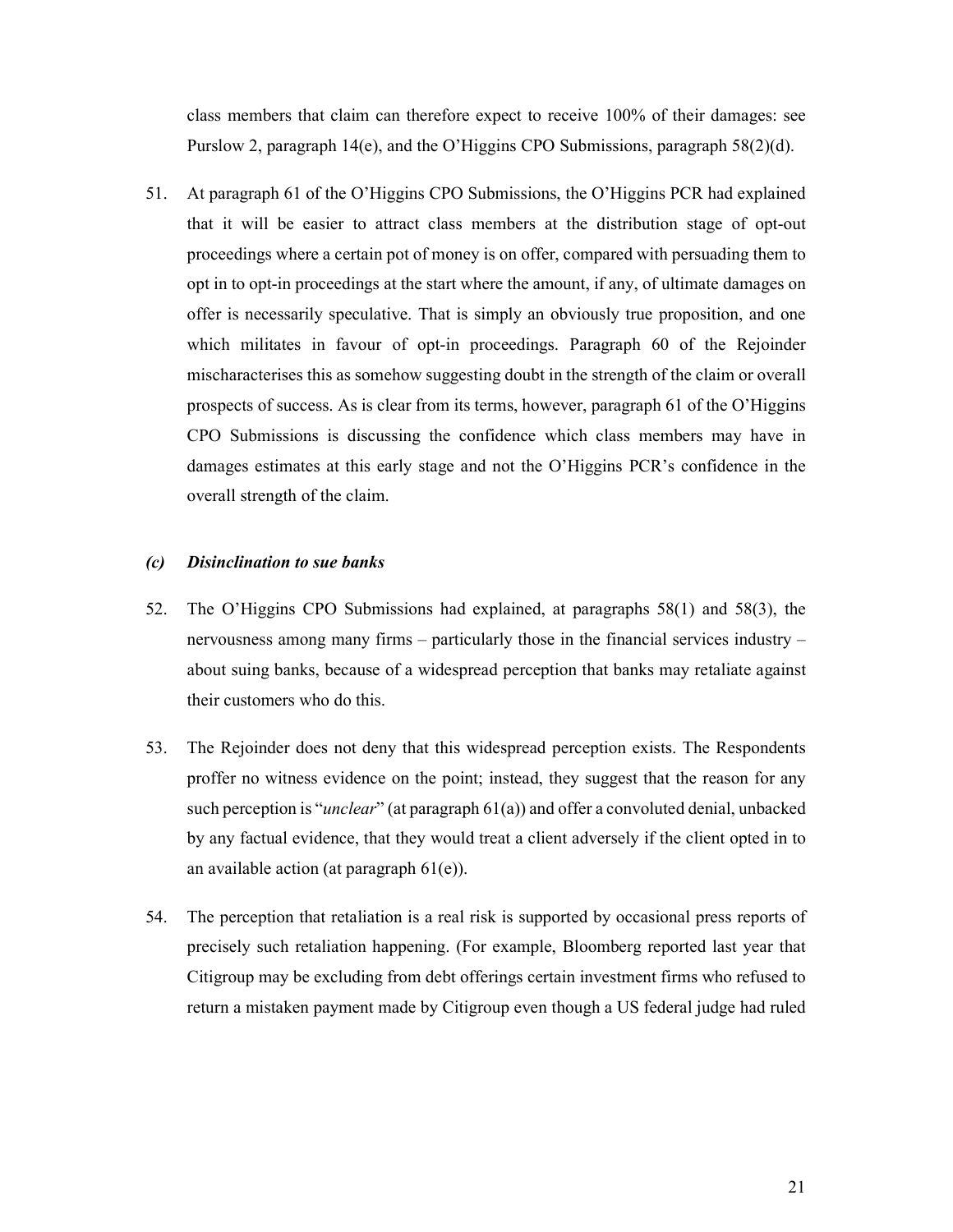class members that claim can therefore expect to receive 100% of their damages: see Purslow 2, paragraph 14(e), and the O'Higgins CPO Submissions, paragraph 58(2)(d).

51. At paragraph 61 of the O'Higgins CPO Submissions, the O'Higgins PCR had explained that it will be easier to attract class members at the distribution stage of opt-out proceedings where a certain pot of money is on offer, compared with persuading them to opt in to opt-in proceedings at the start where the amount, if any, of ultimate damages on offer is necessarily speculative. That is simply an obviously true proposition, and one which militates in favour of opt-in proceedings. Paragraph 60 of the Rejoinder mischaracterises this as somehow suggesting doubt in the strength of the claim or overall prospects of success. As is clear from its terms, however, paragraph 61 of the O'Higgins CPO Submissions is discussing the confidence which class members may have in damages estimates at this early stage and not the O'Higgins PCR's confidence in the overall strength of the claim.

#### *(c) Disinclination to sue banks*

- 52. The O'Higgins CPO Submissions had explained, at paragraphs 58(1) and 58(3), the nervousness among many firms – particularly those in the financial services industry – about suing banks, because of a widespread perception that banks may retaliate against their customers who do this.
- 53. The Rejoinder does not deny that this widespread perception exists. The Respondents proffer no witness evidence on the point; instead, they suggest that the reason for any such perception is "*unclear*" (at paragraph 61(a)) and offer a convoluted denial, unbacked by any factual evidence, that they would treat a client adversely if the client opted in to an available action (at paragraph 61(e)).
- 54. The perception that retaliation is a real risk is supported by occasional press reports of precisely such retaliation happening. (For example, Bloomberg reported last year that Citigroup may be excluding from debt offerings certain investment firms who refused to return a mistaken payment made by Citigroup even though a US federal judge had ruled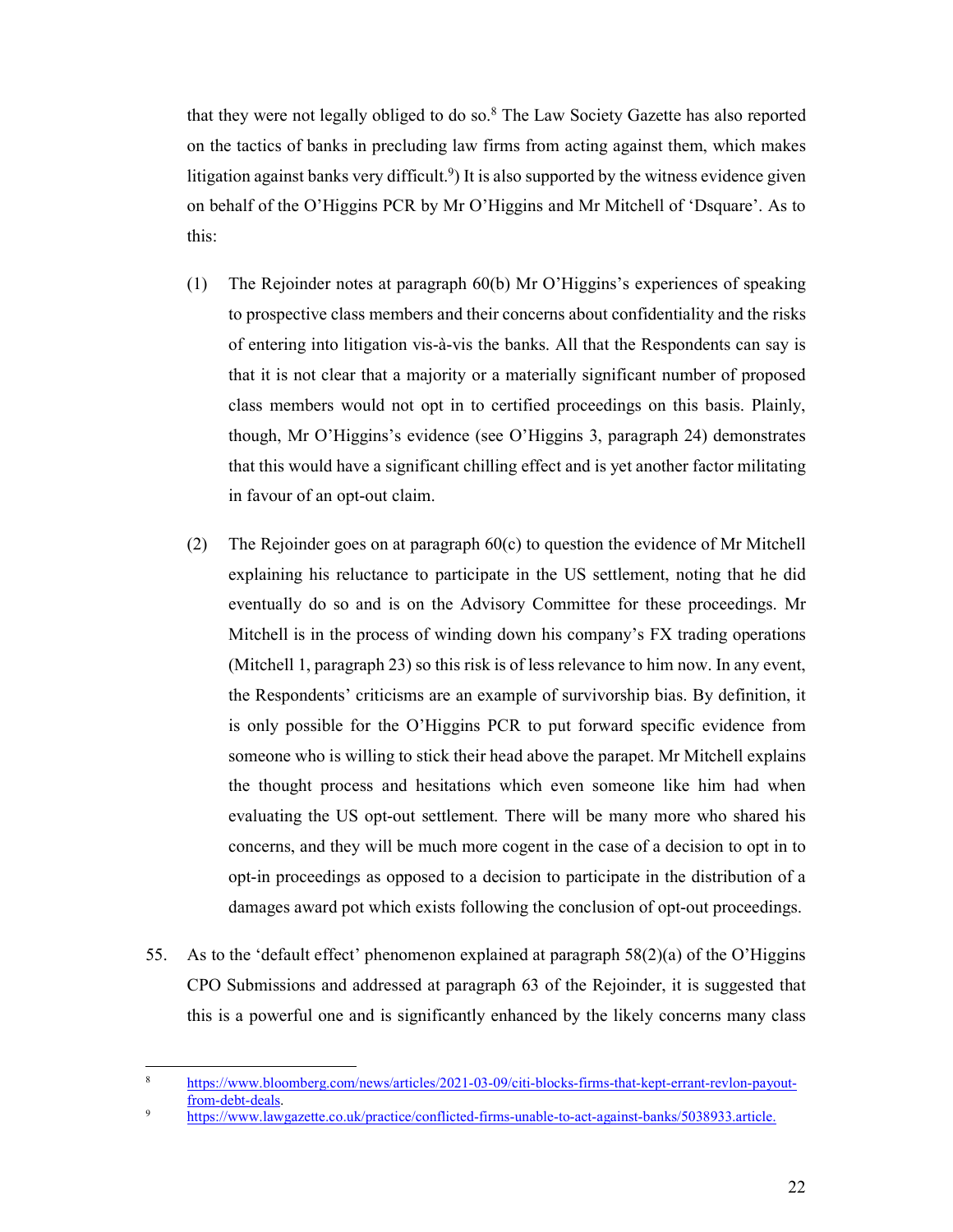that they were not legally obliged to do so.<sup>8</sup> The Law Society Gazette has also reported on the tactics of banks in precluding law firms from acting against them, which makes litigation against banks very difficult.<sup>9</sup>) It is also supported by the witness evidence given on behalf of the O'Higgins PCR by Mr O'Higgins and Mr Mitchell of 'Dsquare'. As to this:

- (1) The Rejoinder notes at paragraph 60(b) Mr O'Higgins's experiences of speaking to prospective class members and their concerns about confidentiality and the risks of entering into litigation vis-à-vis the banks. All that the Respondents can say is that it is not clear that a majority or a materially significant number of proposed class members would not opt in to certified proceedings on this basis. Plainly, though, Mr O'Higgins's evidence (see O'Higgins 3, paragraph 24) demonstrates that this would have a significant chilling effect and is yet another factor militating in favour of an opt-out claim.
- (2) The Rejoinder goes on at paragraph 60(c) to question the evidence of Mr Mitchell explaining his reluctance to participate in the US settlement, noting that he did eventually do so and is on the Advisory Committee for these proceedings. Mr Mitchell is in the process of winding down his company's FX trading operations (Mitchell 1, paragraph 23) so this risk is of less relevance to him now. In any event, the Respondents' criticisms are an example of survivorship bias. By definition, it is only possible for the O'Higgins PCR to put forward specific evidence from someone who is willing to stick their head above the parapet. Mr Mitchell explains the thought process and hesitations which even someone like him had when evaluating the US opt-out settlement. There will be many more who shared his concerns, and they will be much more cogent in the case of a decision to opt in to opt-in proceedings as opposed to a decision to participate in the distribution of a damages award pot which exists following the conclusion of opt-out proceedings.
- 55. As to the 'default effect' phenomenon explained at paragraph  $58(2)(a)$  of the O'Higgins CPO Submissions and addressed at paragraph 63 of the Rejoinder, it is suggested that this is a powerful one and is significantly enhanced by the likely concerns many class

-

<sup>8</sup> https://www.bloomberg.com/news/articles/2021-03-09/citi-blocks-firms-that-kept-errant-revlon-payout- $\frac{\text{from-debt-deals}}{\text{https://www.las.org/2}}$ 

https://www.lawgazette.co.uk/practice/conflicted-firms-unable-to-act-against-banks/5038933.article.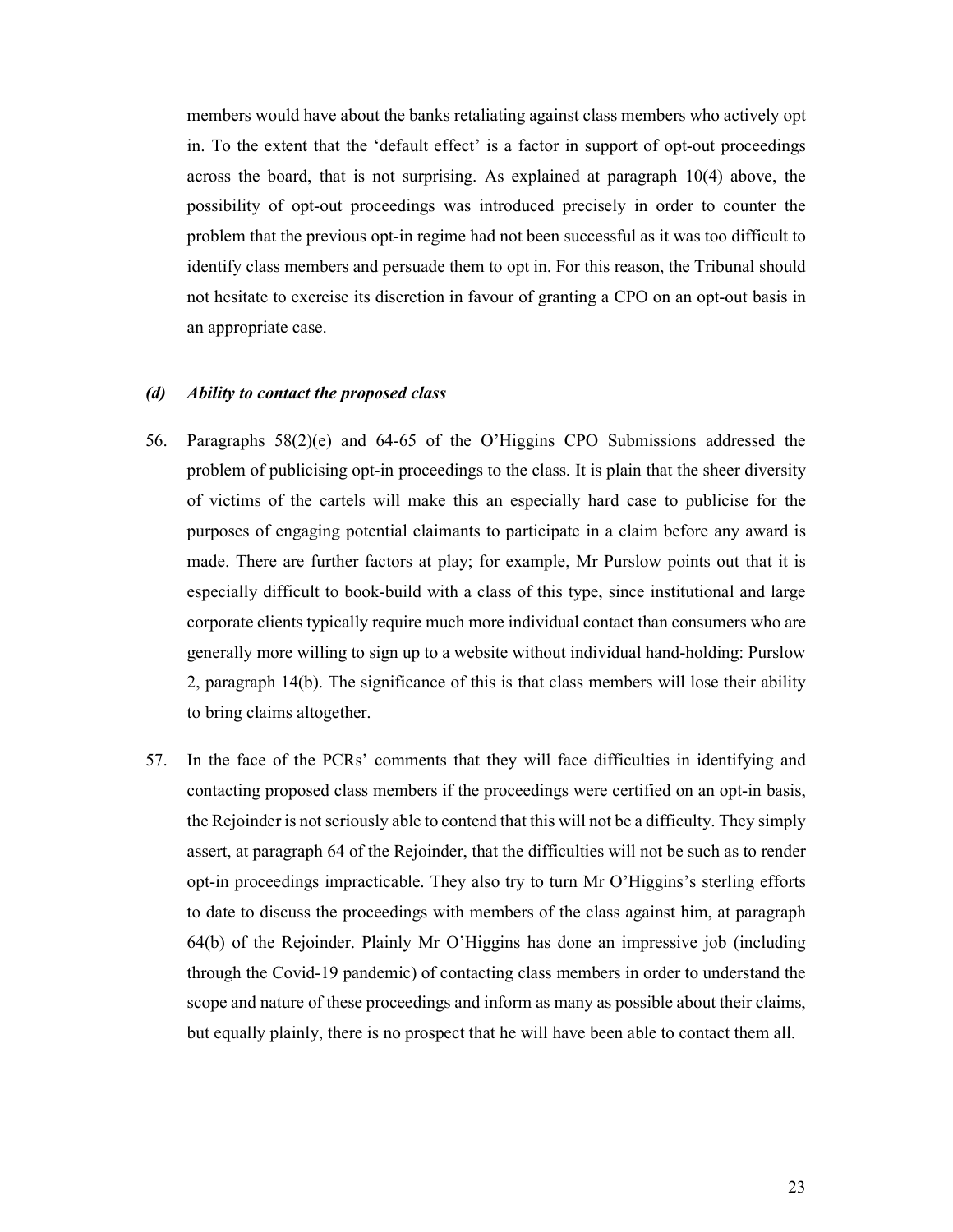members would have about the banks retaliating against class members who actively opt in. To the extent that the 'default effect' is a factor in support of opt-out proceedings across the board, that is not surprising. As explained at paragraph 10(4) above, the possibility of opt-out proceedings was introduced precisely in order to counter the problem that the previous opt-in regime had not been successful as it was too difficult to identify class members and persuade them to opt in. For this reason, the Tribunal should not hesitate to exercise its discretion in favour of granting a CPO on an opt-out basis in an appropriate case.

### *(d) Ability to contact the proposed class*

- 56. Paragraphs 58(2)(e) and 64-65 of the O'Higgins CPO Submissions addressed the problem of publicising opt-in proceedings to the class. It is plain that the sheer diversity of victims of the cartels will make this an especially hard case to publicise for the purposes of engaging potential claimants to participate in a claim before any award is made. There are further factors at play; for example, Mr Purslow points out that it is especially difficult to book-build with a class of this type, since institutional and large corporate clients typically require much more individual contact than consumers who are generally more willing to sign up to a website without individual hand-holding: Purslow 2, paragraph 14(b). The significance of this is that class members will lose their ability to bring claims altogether.
- 57. In the face of the PCRs' comments that they will face difficulties in identifying and contacting proposed class members if the proceedings were certified on an opt-in basis, the Rejoinder is not seriously able to contend that this will not be a difficulty. They simply assert, at paragraph 64 of the Rejoinder, that the difficulties will not be such as to render opt-in proceedings impracticable. They also try to turn Mr O'Higgins's sterling efforts to date to discuss the proceedings with members of the class against him, at paragraph 64(b) of the Rejoinder. Plainly Mr O'Higgins has done an impressive job (including through the Covid-19 pandemic) of contacting class members in order to understand the scope and nature of these proceedings and inform as many as possible about their claims, but equally plainly, there is no prospect that he will have been able to contact them all.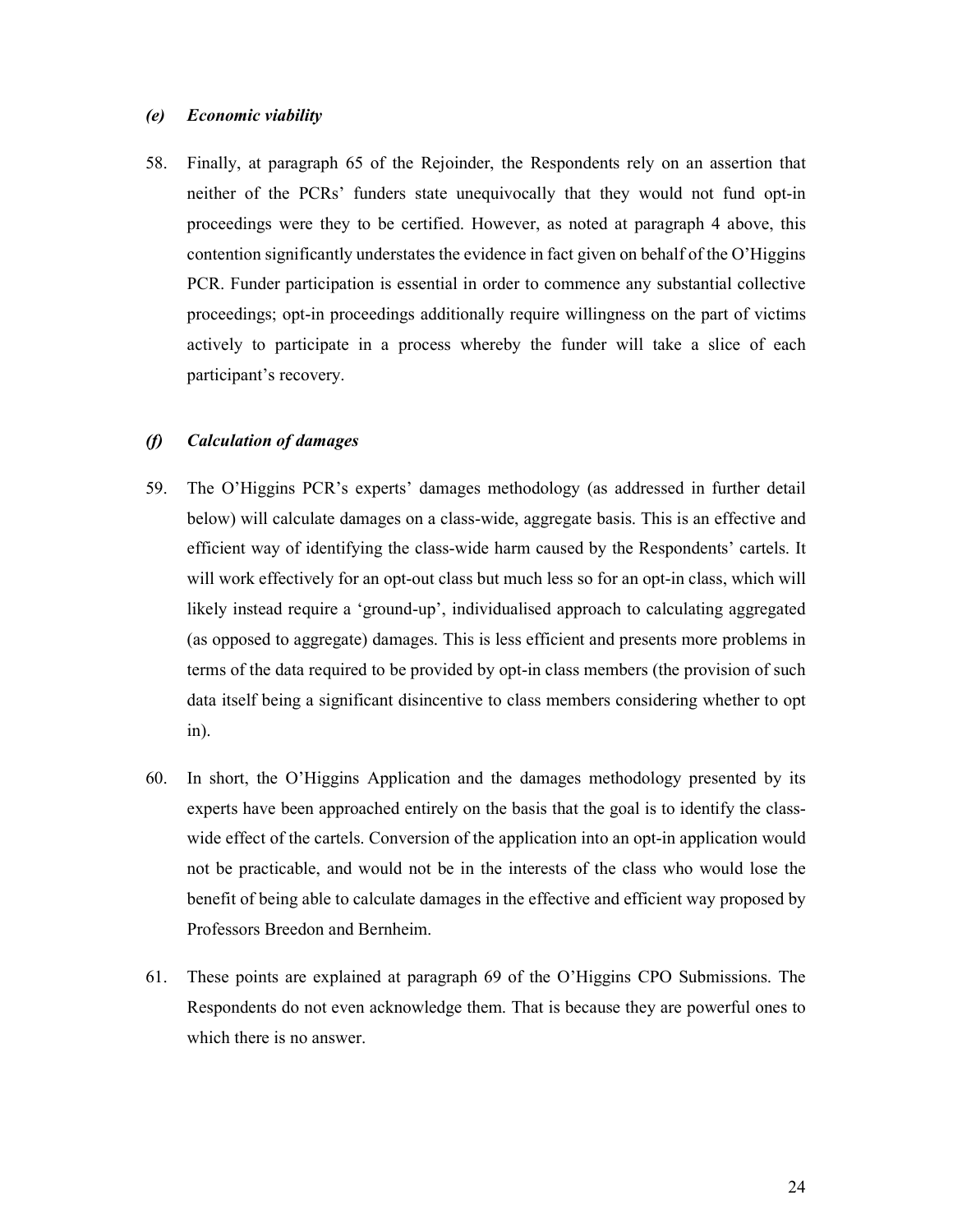#### *(e) Economic viability*

58. Finally, at paragraph 65 of the Rejoinder, the Respondents rely on an assertion that neither of the PCRs' funders state unequivocally that they would not fund opt-in proceedings were they to be certified. However, as noted at paragraph 4 above, this contention significantly understates the evidence in fact given on behalf of the O'Higgins PCR. Funder participation is essential in order to commence any substantial collective proceedings; opt-in proceedings additionally require willingness on the part of victims actively to participate in a process whereby the funder will take a slice of each participant's recovery.

### *(f) Calculation of damages*

- 59. The O'Higgins PCR's experts' damages methodology (as addressed in further detail below) will calculate damages on a class-wide, aggregate basis. This is an effective and efficient way of identifying the class-wide harm caused by the Respondents' cartels. It will work effectively for an opt-out class but much less so for an opt-in class, which will likely instead require a 'ground-up', individualised approach to calculating aggregated (as opposed to aggregate) damages. This is less efficient and presents more problems in terms of the data required to be provided by opt-in class members (the provision of such data itself being a significant disincentive to class members considering whether to opt in).
- 60. In short, the O'Higgins Application and the damages methodology presented by its experts have been approached entirely on the basis that the goal is to identify the classwide effect of the cartels. Conversion of the application into an opt-in application would not be practicable, and would not be in the interests of the class who would lose the benefit of being able to calculate damages in the effective and efficient way proposed by Professors Breedon and Bernheim.
- 61. These points are explained at paragraph 69 of the O'Higgins CPO Submissions. The Respondents do not even acknowledge them. That is because they are powerful ones to which there is no answer.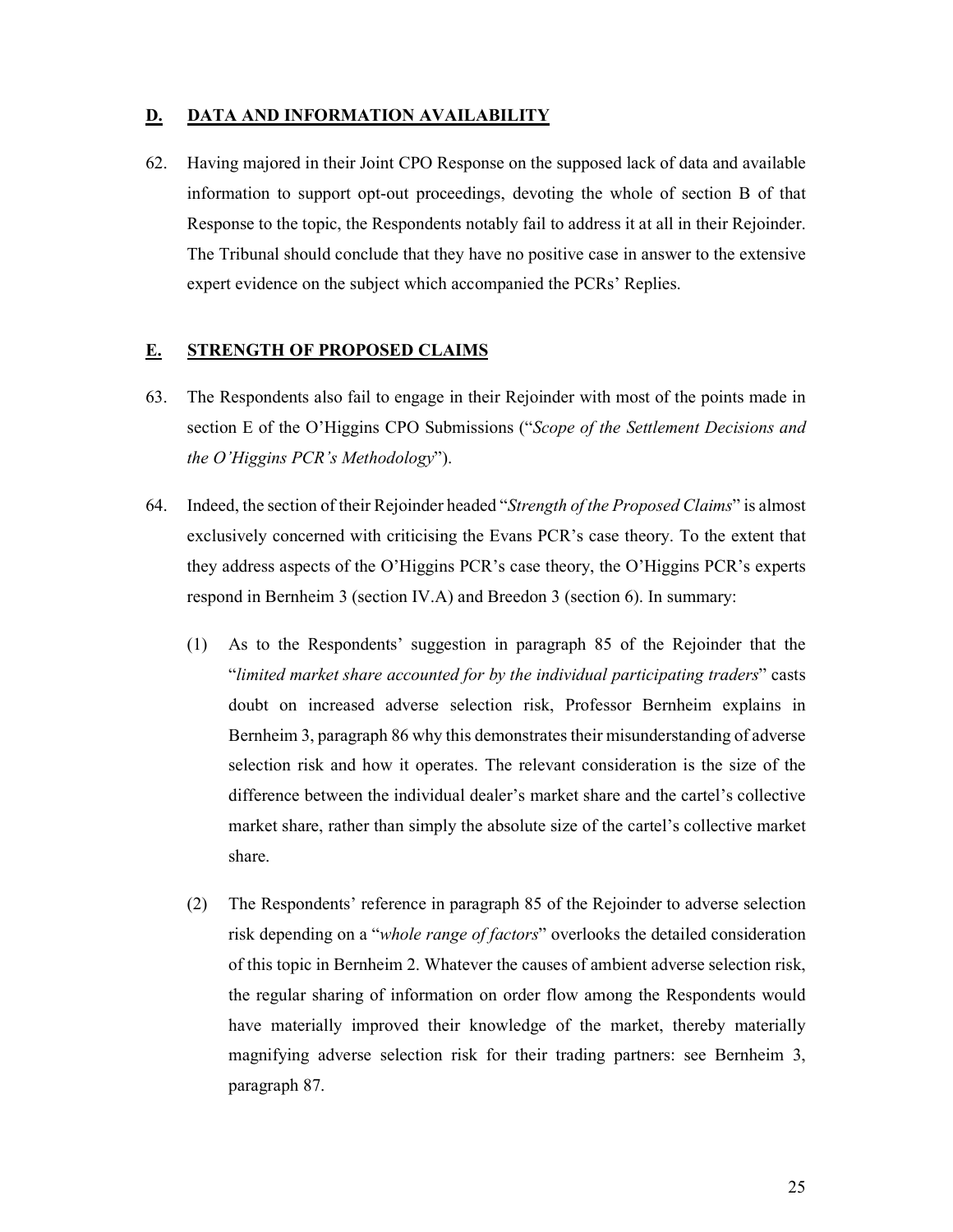# **D. DATA AND INFORMATION AVAILABILITY**

62. Having majored in their Joint CPO Response on the supposed lack of data and available information to support opt-out proceedings, devoting the whole of section B of that Response to the topic, the Respondents notably fail to address it at all in their Rejoinder. The Tribunal should conclude that they have no positive case in answer to the extensive expert evidence on the subject which accompanied the PCRs' Replies.

# **E. STRENGTH OF PROPOSED CLAIMS**

- 63. The Respondents also fail to engage in their Rejoinder with most of the points made in section E of the O'Higgins CPO Submissions ("*Scope of the Settlement Decisions and the O'Higgins PCR's Methodology*").
- 64. Indeed, the section of their Rejoinder headed "*Strength of the Proposed Claims*" is almost exclusively concerned with criticising the Evans PCR's case theory. To the extent that they address aspects of the O'Higgins PCR's case theory, the O'Higgins PCR's experts respond in Bernheim 3 (section IV.A) and Breedon 3 (section 6). In summary:
	- (1) As to the Respondents' suggestion in paragraph 85 of the Rejoinder that the "*limited market share accounted for by the individual participating traders*" casts doubt on increased adverse selection risk, Professor Bernheim explains in Bernheim 3, paragraph 86 why this demonstrates their misunderstanding of adverse selection risk and how it operates. The relevant consideration is the size of the difference between the individual dealer's market share and the cartel's collective market share, rather than simply the absolute size of the cartel's collective market share.
	- (2) The Respondents' reference in paragraph 85 of the Rejoinder to adverse selection risk depending on a "*whole range of factors*" overlooks the detailed consideration of this topic in Bernheim 2. Whatever the causes of ambient adverse selection risk, the regular sharing of information on order flow among the Respondents would have materially improved their knowledge of the market, thereby materially magnifying adverse selection risk for their trading partners: see Bernheim 3, paragraph 87.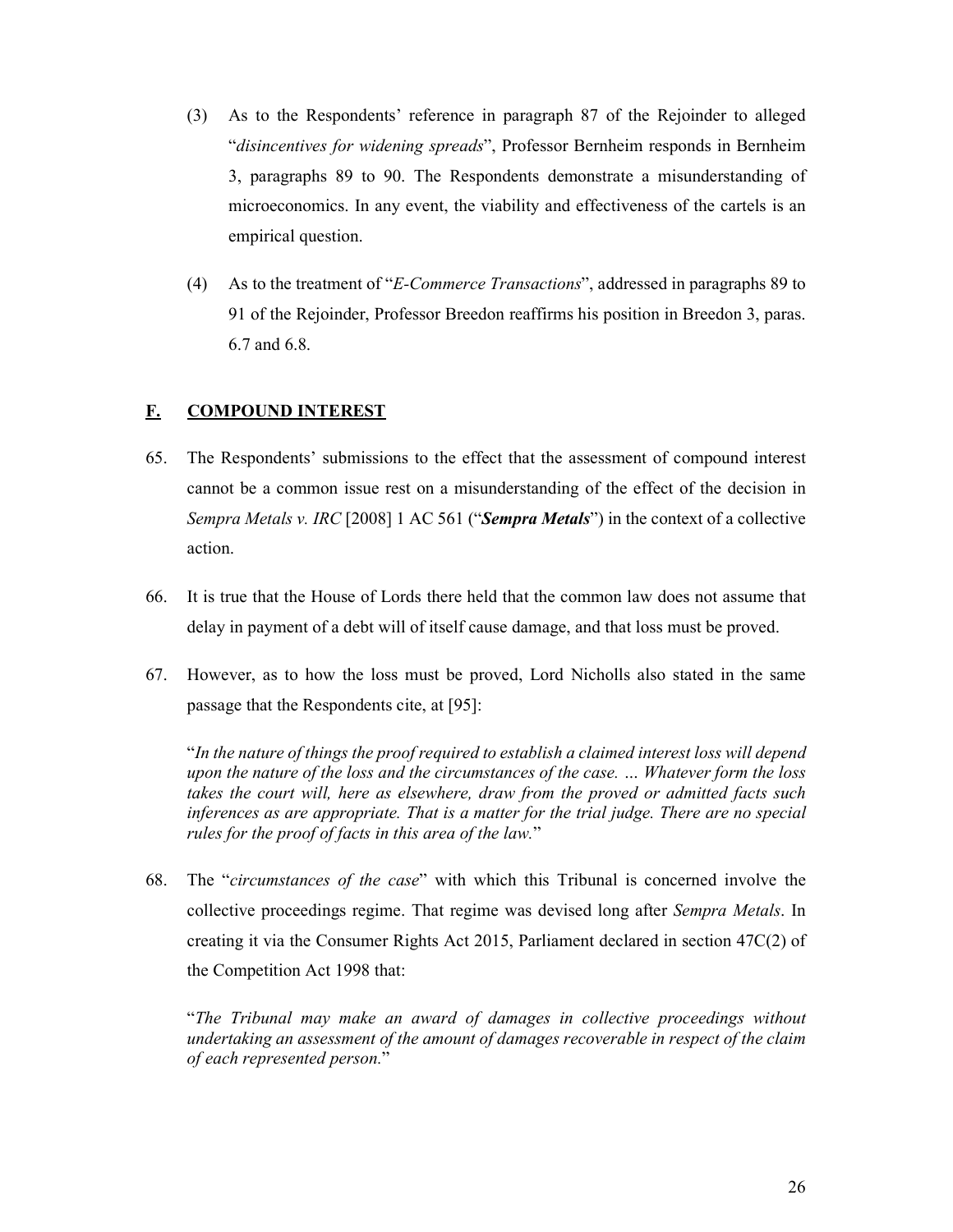- (3) As to the Respondents' reference in paragraph 87 of the Rejoinder to alleged "*disincentives for widening spreads*", Professor Bernheim responds in Bernheim 3, paragraphs 89 to 90. The Respondents demonstrate a misunderstanding of microeconomics. In any event, the viability and effectiveness of the cartels is an empirical question.
- (4) As to the treatment of "*E-Commerce Transactions*", addressed in paragraphs 89 to 91 of the Rejoinder, Professor Breedon reaffirms his position in Breedon 3, paras. 6.7 and 6.8.

# **F. COMPOUND INTEREST**

- 65. The Respondents' submissions to the effect that the assessment of compound interest cannot be a common issue rest on a misunderstanding of the effect of the decision in *Sempra Metals v. IRC* [2008] 1 AC 561 ("*Sempra Metals*") in the context of a collective action.
- 66. It is true that the House of Lords there held that the common law does not assume that delay in payment of a debt will of itself cause damage, and that loss must be proved.
- 67. However, as to how the loss must be proved, Lord Nicholls also stated in the same passage that the Respondents cite, at [95]:

"*In the nature of things the proof required to establish a claimed interest loss will depend upon the nature of the loss and the circumstances of the case. … Whatever form the loss takes the court will, here as elsewhere, draw from the proved or admitted facts such inferences as are appropriate. That is a matter for the trial judge. There are no special rules for the proof of facts in this area of the law.*"

68. The "*circumstances of the case*" with which this Tribunal is concerned involve the collective proceedings regime. That regime was devised long after *Sempra Metals*. In creating it via the Consumer Rights Act 2015, Parliament declared in section 47C(2) of the Competition Act 1998 that:

"*The Tribunal may make an award of damages in collective proceedings without undertaking an assessment of the amount of damages recoverable in respect of the claim of each represented person.*"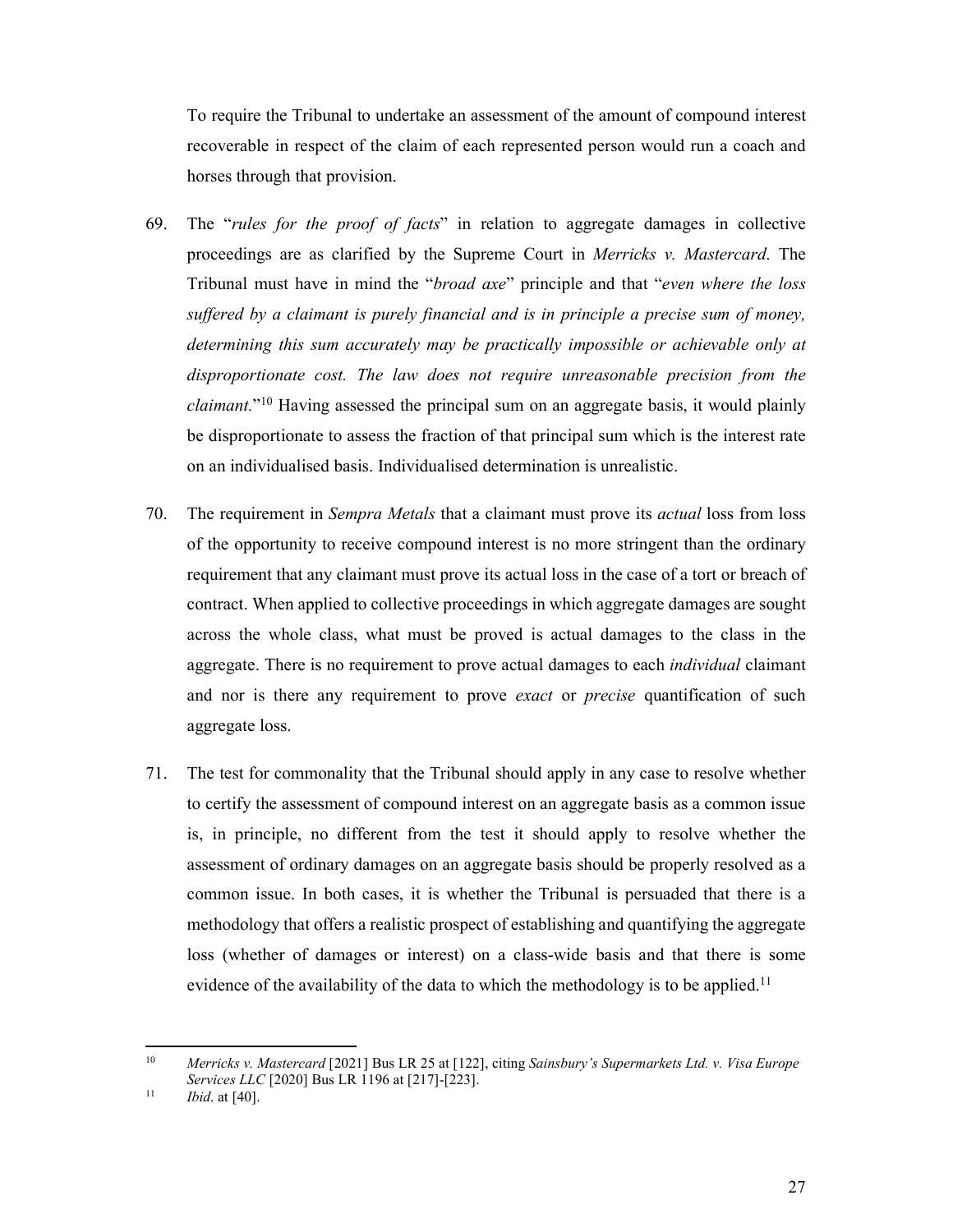To require the Tribunal to undertake an assessment of the amount of compound interest recoverable in respect of the claim of each represented person would run a coach and horses through that provision.

- 69. The "*rules for the proof of facts*" in relation to aggregate damages in collective proceedings are as clarified by the Supreme Court in *Merricks v. Mastercard*. The Tribunal must have in mind the "*broad axe*" principle and that "*even where the loss suffered by a claimant is purely financial and is in principle a precise sum of money, determining this sum accurately may be practically impossible or achievable only at disproportionate cost. The law does not require unreasonable precision from the claimant.*"10 Having assessed the principal sum on an aggregate basis, it would plainly be disproportionate to assess the fraction of that principal sum which is the interest rate on an individualised basis. Individualised determination is unrealistic.
- 70. The requirement in *Sempra Metals* that a claimant must prove its *actual* loss from loss of the opportunity to receive compound interest is no more stringent than the ordinary requirement that any claimant must prove its actual loss in the case of a tort or breach of contract. When applied to collective proceedings in which aggregate damages are sought across the whole class, what must be proved is actual damages to the class in the aggregate. There is no requirement to prove actual damages to each *individual* claimant and nor is there any requirement to prove *exact* or *precise* quantification of such aggregate loss.
- 71. The test for commonality that the Tribunal should apply in any case to resolve whether to certify the assessment of compound interest on an aggregate basis as a common issue is, in principle, no different from the test it should apply to resolve whether the assessment of ordinary damages on an aggregate basis should be properly resolved as a common issue. In both cases, it is whether the Tribunal is persuaded that there is a methodology that offers a realistic prospect of establishing and quantifying the aggregate loss (whether of damages or interest) on a class-wide basis and that there is some evidence of the availability of the data to which the methodology is to be applied.<sup>11</sup>

 $10<sup>1</sup>$ 10 *Merricks v. Mastercard* [2021] Bus LR 25 at [122], citing *Sainsbury's Supermarkets Ltd. v. Visa Europe Services LLC* [2020] Bus LR 1196 at [217]-[223]. 11 *Ibid*. at [40].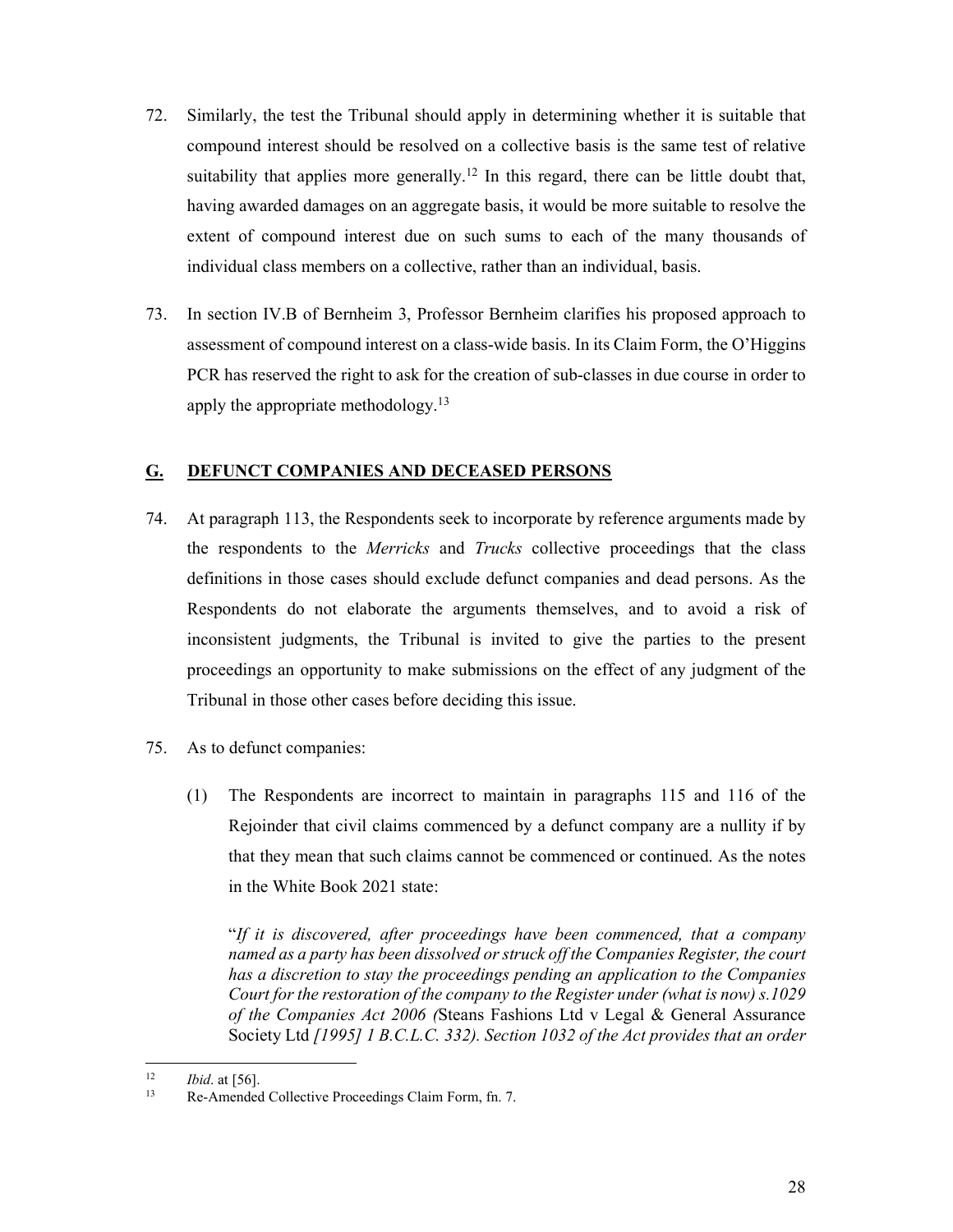- 72. Similarly, the test the Tribunal should apply in determining whether it is suitable that compound interest should be resolved on a collective basis is the same test of relative suitability that applies more generally.<sup>12</sup> In this regard, there can be little doubt that, having awarded damages on an aggregate basis, it would be more suitable to resolve the extent of compound interest due on such sums to each of the many thousands of individual class members on a collective, rather than an individual, basis.
- 73. In section IV.B of Bernheim 3, Professor Bernheim clarifies his proposed approach to assessment of compound interest on a class-wide basis. In its Claim Form, the O'Higgins PCR has reserved the right to ask for the creation of sub-classes in due course in order to apply the appropriate methodology.<sup>13</sup>

# **G. DEFUNCT COMPANIES AND DECEASED PERSONS**

- 74. At paragraph 113, the Respondents seek to incorporate by reference arguments made by the respondents to the *Merricks* and *Trucks* collective proceedings that the class definitions in those cases should exclude defunct companies and dead persons. As the Respondents do not elaborate the arguments themselves, and to avoid a risk of inconsistent judgments, the Tribunal is invited to give the parties to the present proceedings an opportunity to make submissions on the effect of any judgment of the Tribunal in those other cases before deciding this issue.
- 75. As to defunct companies:
	- (1) The Respondents are incorrect to maintain in paragraphs 115 and 116 of the Rejoinder that civil claims commenced by a defunct company are a nullity if by that they mean that such claims cannot be commenced or continued. As the notes in the White Book 2021 state:

"*If it is discovered, after proceedings have been commenced, that a company named as a party has been dissolved or struck off the Companies Register, the court has a discretion to stay the proceedings pending an application to the Companies Court for the restoration of the company to the Register under (what is now) s.1029 of the Companies Act 2006 (*Steans Fashions Ltd v Legal & General Assurance Society Ltd *[1995] 1 B.C.L.C. 332). Section 1032 of the Act provides that an order* 

 $12 \,$ 

<sup>&</sup>lt;sup>12</sup> *Ibid.* at [56].<br><sup>13</sup> Re-Amended Collective Proceedings Claim Form, fn. 7.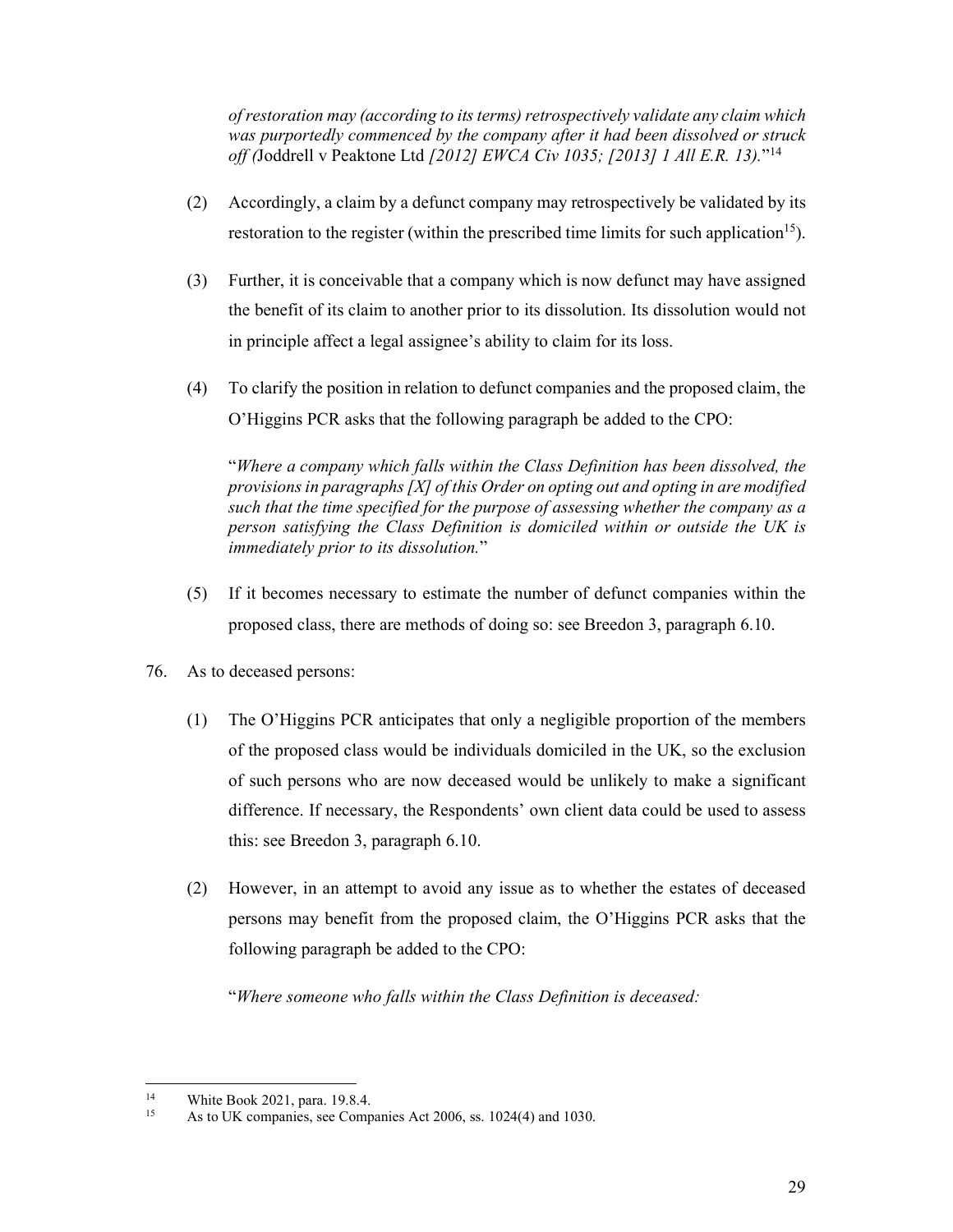*of restoration may (according to its terms) retrospectively validate any claim which was purportedly commenced by the company after it had been dissolved or struck off (*Joddrell v Peaktone Ltd *[2012] EWCA Civ 1035; [2013] 1 All E.R. 13).*"14

- (2) Accordingly, a claim by a defunct company may retrospectively be validated by its restoration to the register (within the prescribed time limits for such application<sup>15</sup>).
- (3) Further, it is conceivable that a company which is now defunct may have assigned the benefit of its claim to another prior to its dissolution. Its dissolution would not in principle affect a legal assignee's ability to claim for its loss.
- (4) To clarify the position in relation to defunct companies and the proposed claim, the O'Higgins PCR asks that the following paragraph be added to the CPO:

"*Where a company which falls within the Class Definition has been dissolved, the provisions in paragraphs [X] of this Order on opting out and opting in are modified such that the time specified for the purpose of assessing whether the company as a person satisfying the Class Definition is domiciled within or outside the UK is immediately prior to its dissolution.*"

- (5) If it becomes necessary to estimate the number of defunct companies within the proposed class, there are methods of doing so: see Breedon 3, paragraph 6.10.
- 76. As to deceased persons:
	- (1) The O'Higgins PCR anticipates that only a negligible proportion of the members of the proposed class would be individuals domiciled in the UK, so the exclusion of such persons who are now deceased would be unlikely to make a significant difference. If necessary, the Respondents' own client data could be used to assess this: see Breedon 3, paragraph 6.10.
	- (2) However, in an attempt to avoid any issue as to whether the estates of deceased persons may benefit from the proposed claim, the O'Higgins PCR asks that the following paragraph be added to the CPO:

"*Where someone who falls within the Class Definition is deceased:* 

<sup>-</sup><sup>14</sup> White Book 2021, para. 19.8.4.<br><sup>15</sup> As to UK companies, see Comp

As to UK companies, see Companies Act 2006, ss. 1024(4) and 1030.